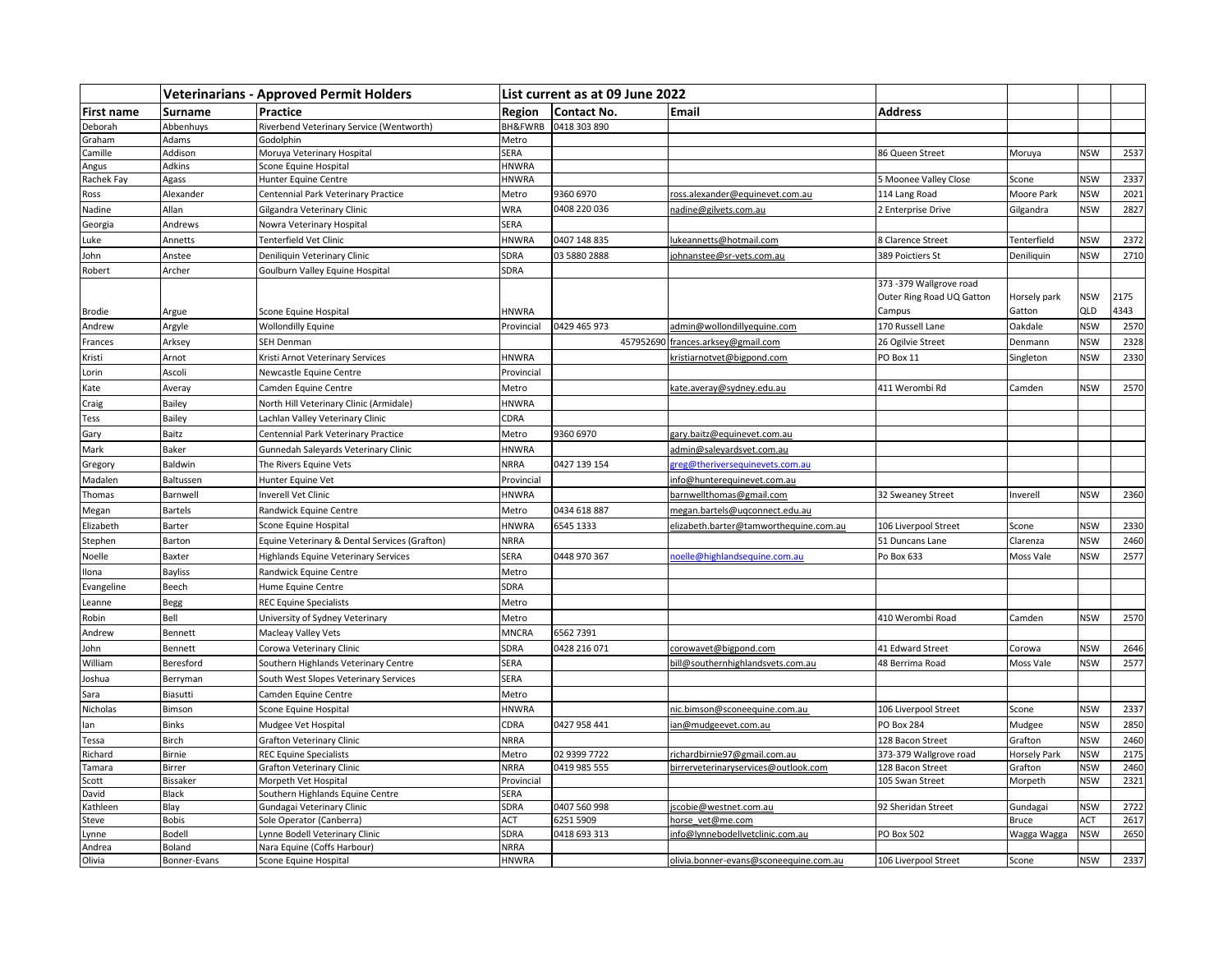|                 |                      | <b>Veterinarians - Approved Permit Holders</b>            | List current as at 09 June 2022 |                           |                                                      |                                                               |                        |                   |              |
|-----------------|----------------------|-----------------------------------------------------------|---------------------------------|---------------------------|------------------------------------------------------|---------------------------------------------------------------|------------------------|-------------------|--------------|
| First name      | Surname              | Practice                                                  | Region                          | Contact No.               | <b>Email</b>                                         | <b>Address</b>                                                |                        |                   |              |
| Deborah         | Abbenhuys            | Riverbend Veterinary Service (Wentworth)                  | BH&FWRB                         | 0418 303 890              |                                                      |                                                               |                        |                   |              |
| Graham          | Adams                | Godolphin                                                 | Metro                           |                           |                                                      |                                                               |                        |                   |              |
| Camille         | Addison              | Moruya Veterinary Hospital                                | SERA                            |                           |                                                      | 86 Queen Street                                               | Moruya                 | <b>NSW</b>        | 2537         |
| Angus           | Adkins               | Scone Equine Hospital                                     | <b>HNWRA</b>                    |                           |                                                      |                                                               |                        |                   |              |
| Rachek Fay      | Agass                | Hunter Equine Centre                                      | <b>HNWRA</b>                    |                           |                                                      | 5 Moonee Valley Close                                         | Scone                  | <b>NSW</b>        | 2337         |
| Ross            | Alexander            | Centennial Park Veterinary Practice                       | Metro                           | 9360 6970                 | ross.alexander@equinevet.com.au                      | 114 Lang Road                                                 | Moore Park             | <b>NSW</b>        | 2021         |
| Nadine          | Allan                | Gilgandra Veterinary Clinic                               | <b>WRA</b>                      | 0408 220 036              | nadine@gilvets.com.au                                | 2 Enterprise Drive                                            | Gilgandra              | <b>NSW</b>        | 2827         |
| Georgia         | Andrews              | Nowra Veterinary Hospital                                 | SERA                            |                           |                                                      |                                                               |                        |                   |              |
| Luke            | Annetts              | Tenterfield Vet Clinic                                    | <b>HNWRA</b>                    | 0407 148 835              | lukeannetts@hotmail.com                              | 8 Clarence Street                                             | Tenterfield            | <b>NSW</b>        | 2372         |
| John            | Anstee               | Deniliquin Veterinary Clinic                              | SDRA                            | 03 5880 2888              | iohnanstee@sr-vets.com.au                            | 389 Poictiers St                                              | Deniliquin             | <b>NSW</b>        | 2710         |
| Robert          | Archer               | Goulburn Valley Equine Hospital                           | SDRA                            |                           |                                                      |                                                               |                        |                   |              |
| Brodie          | Argue                | Scone Equine Hospital                                     | <b>HNWRA</b>                    |                           |                                                      | 373-379 Wallgrove road<br>Outer Ring Road UQ Gatton<br>Campus | Horsely park<br>Gatton | <b>NSW</b><br>QLD | 2175<br>4343 |
| Andrew          | Argyle               | <b>Wollondilly Equine</b>                                 | Provincial                      | 0429 465 973              | admin@wollondillyequine.com                          | 170 Russell Lane                                              | Oakdale                | <b>NSW</b>        | 2570         |
| Frances         | Arksey               | SEH Denman                                                |                                 |                           | 457952690 frances.arksey@gmail.com                   | 26 Ogilvie Street                                             | Denmann                | <b>NSW</b>        | 2328         |
| Kristi          | Arnot                | Kristi Arnot Veterinary Services                          | <b>HNWRA</b>                    |                           | kristiarnotvet@bigpond.com                           | PO Box 11                                                     | Singleton              | <b>NSW</b>        | 2330         |
| Lorin           | Ascoli               | Newcastle Equine Centre                                   | Provincial                      |                           |                                                      |                                                               |                        |                   |              |
| Kate            | Averay               | Camden Equine Centre                                      | Metro                           |                           | kate.averay@sydney.edu.au                            | 411 Werombi Rd                                                | Camden                 | <b>NSW</b>        | 2570         |
| Craig           | Bailey               | North Hill Veterinary Clinic (Armidale)                   | <b>HNWRA</b>                    |                           |                                                      |                                                               |                        |                   |              |
| Tess            | Bailey               | Lachlan Valley Veterinary Clinic                          | CDRA                            |                           |                                                      |                                                               |                        |                   |              |
| Gary            | Baitz                | Centennial Park Veterinary Practice                       | Metro                           | 9360 6970                 | gary.baitz@equinevet.com.au                          |                                                               |                        |                   |              |
| Mark            | Baker                | Gunnedah Saleyards Veterinary Clinic                      | <b>HNWRA</b>                    |                           | admin@saleyardsvet.com.au                            |                                                               |                        |                   |              |
| Gregory         | Baldwin              | The Rivers Equine Vets                                    | <b>NRRA</b>                     | 0427 139 154              | greg@theriversequinevets.com.au                      |                                                               |                        |                   |              |
| Madalen         | Baltussen            | Hunter Equine Vet                                         | Provincial                      |                           | info@hunterequinevet.com.au                          |                                                               |                        |                   |              |
| Thomas          | Barnwell             | nverell Vet Clinic                                        | <b>HNWRA</b>                    |                           | barnwellthomas@gmail.com                             | 32 Sweaney Street                                             | Inverell               | <b>NSW</b>        | 2360         |
| Megan           | <b>Bartels</b>       | Randwick Equine Centre                                    | Metro                           | 0434 618 887              | megan.bartels@ugconnect.edu.au                       |                                                               |                        |                   |              |
| Elizabeth       | Barter               | Scone Equine Hospital                                     | <b>HNWRA</b>                    | 6545 1333                 | elizabeth.barter@tamworthequine.com.au               | 106 Liverpool Street                                          | Scone                  | <b>NSW</b>        | 2330         |
| Stephen         | Barton               | Equine Veterinary & Dental Services (Grafton)             | <b>NRRA</b>                     |                           |                                                      | 51 Duncans Lane                                               | Clarenza               | <b>NSW</b>        | 2460         |
| Noelle          | Baxter               | <b>Highlands Equine Veterinary Services</b>               | <b>SERA</b>                     | 0448 970 367              | noelle@highlandsequine.com.au                        | Po Box 633                                                    | Moss Vale              | <b>NSW</b>        | 2577         |
|                 |                      |                                                           |                                 |                           |                                                      |                                                               |                        |                   |              |
| Ilona           | <b>Bayliss</b>       | Randwick Equine Centre                                    | Metro                           |                           |                                                      |                                                               |                        |                   |              |
| Evangeline      | Beech                | Hume Equine Centre                                        | SDRA                            |                           |                                                      |                                                               |                        |                   |              |
| Leanne          | Begg                 | <b>REC Equine Specialists</b>                             | Metro                           |                           |                                                      |                                                               |                        |                   |              |
| Robin           | Bell                 | University of Sydney Veterinary                           | Metro                           |                           |                                                      | 410 Werombi Road                                              | Camden                 | <b>NSW</b>        | 2570         |
| Andrew          | Bennett              | Macleay Valley Vets                                       | MNCRA                           | 6562 7391                 |                                                      |                                                               |                        |                   |              |
| John            | Bennett              | Corowa Veterinary Clinic                                  | SDRA                            | 0428 216 071              | corowavet@bigpond.com                                | 41 Edward Street                                              | Corowa                 | <b>NSW</b>        | 2646         |
| William         | Beresford            | Southern Highlands Veterinary Centre                      | SERA                            |                           | bill@southernhighlandsvets.com.au                    | 48 Berrima Road                                               | Moss Vale              | <b>NSW</b>        | 2577         |
| Joshua          | Berryman             | South West Slopes Veterinary Services                     | SERA                            |                           |                                                      |                                                               |                        |                   |              |
| Sara            | Biasutti             | Camden Equine Centre                                      | Metro                           |                           |                                                      |                                                               |                        |                   |              |
| Nicholas        | Bimson               | Scone Equine Hospital                                     | <b>HNWRA</b>                    |                           | nic.bimson@sconeequine.com.au                        | 106 Liverpool Street                                          | Scone                  | <b>NSW</b>        | 2337         |
| lan             | Binks                | Mudgee Vet Hospital                                       | CDRA                            | 0427 958 441              | an@mudgeevet.com.au                                  | <b>PO Box 284</b>                                             | Mudgee                 | <b>NSW</b>        | 2850         |
| Tessa           | Birch                | <b>Grafton Veterinary Clinic</b>                          | <b>NRRA</b>                     |                           |                                                      | 128 Bacon Street                                              | Grafton                | <b>NSW</b>        | 2460         |
| Richard         | Birnie               | <b>REC Equine Specialists</b>                             | Metro                           | 02 9399 7722              | richardbirnie97@gmail.com.au                         | 373-379 Wallgrove road                                        | Horsely Park           | <b>NSW</b>        | 2175         |
| Tamara          | Birrer               | <b>Grafton Veterinary Clinic</b>                          | <b>NRRA</b>                     | 0419 985 555              | birrerveterinaryservices@outlook.com                 | 128 Bacon Street                                              | Grafton                | <b>NSW</b>        | 2460         |
| Scott           | Bissaker             | Morpeth Vet Hospital                                      | Provincial                      |                           |                                                      | 105 Swan Street                                               | Morpeth                | <b>NSW</b>        | 2321         |
| David           | Black                | Southern Highlands Equine Centre                          | <b>SERA</b>                     |                           |                                                      |                                                               |                        |                   |              |
| Kathleen        | Blay<br><b>Bobis</b> | Gundagai Veterinary Clinic                                | SDRA<br>ACT                     | 0407 560 998              | jscobie@westnet.com.au                               | 92 Sheridan Street                                            | Gundagai               | <b>NSW</b>        | 2722<br>2617 |
| Steve           | Bodell               | Sole Operator (Canberra)<br>ynne Bodell Veterinary Clinic | SDRA                            | 6251 5909<br>0418 693 313 | horse vet@me.com<br>info@lynnebodellvetclinic.com.au | <b>PO Box 502</b>                                             | Bruce<br>Wagga Wagga   | ACT<br><b>NSW</b> | 2650         |
| Lynne<br>Andrea | Boland               | Nara Equine (Coffs Harbour)                               | <b>NRRA</b>                     |                           |                                                      |                                                               |                        |                   |              |
| Olivia          | Bonner-Evans         | Scone Equine Hospital                                     | <b>HNWRA</b>                    |                           | olivia.bonner-evans@sconeequine.com.au               | 106 Liverpool Street                                          | Scone                  | <b>NSW</b>        | 2337         |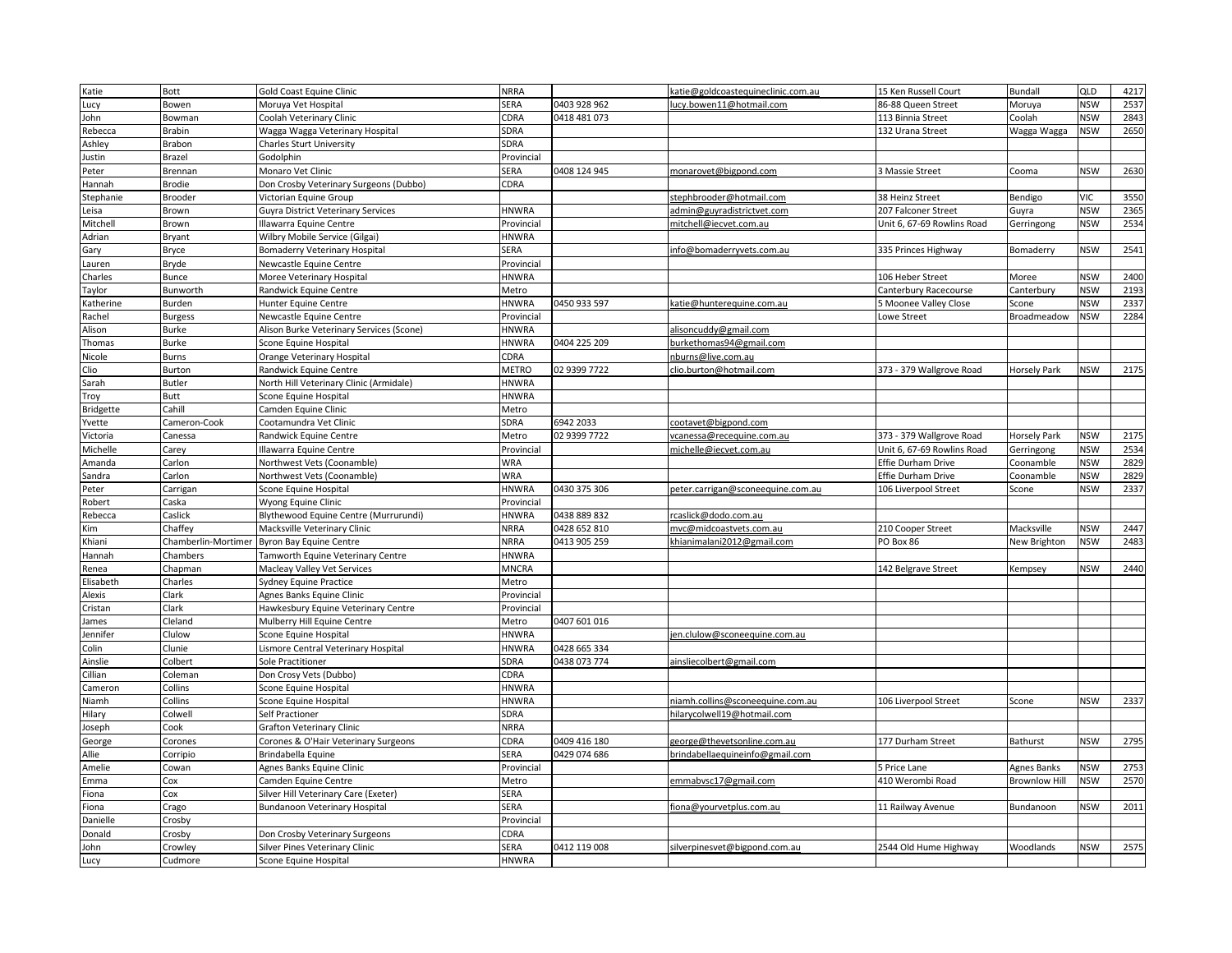| Katie                    | Bott                | Gold Coast Equine Clinic                                              | <b>NRRA</b>                  |                              | katie@goldcoastequineclinic.com.au                              | 15 Ken Russell Court       | <b>Bundall</b>       | QLD                      | 4217 |
|--------------------------|---------------------|-----------------------------------------------------------------------|------------------------------|------------------------------|-----------------------------------------------------------------|----------------------------|----------------------|--------------------------|------|
| Lucy                     | Bowen               | Moruya Vet Hospital                                                   | SERA                         | 0403 928 962                 | ucy.bowen11@hotmail.com                                         | 86-88 Queen Street         | Moruya               | <b>NSW</b>               | 2537 |
| John                     | Bowman              | Coolah Veterinary Clinic                                              | CDRA                         | 0418 481 073                 |                                                                 | 113 Binnia Street          | Coolah               | <b>NSW</b>               | 2843 |
| Rebecca                  | Brabin              | Wagga Wagga Veterinary Hospital                                       | SDRA                         |                              |                                                                 | 132 Urana Street           | Wagga Wagga          | <b>NSW</b>               | 2650 |
| Ashley                   | Brabon              | <b>Charles Sturt University</b>                                       | SDRA                         |                              |                                                                 |                            |                      |                          |      |
| ustin                    | Brazel              | Godolphin                                                             | Provincial                   |                              |                                                                 |                            |                      |                          |      |
| Peter                    | Brennan             | Monaro Vet Clinic                                                     | SERA                         | 0408 124 945                 | monarovet@bigpond.com                                           | 3 Massie Street            | Cooma                | <b>NSW</b>               | 2630 |
| Hannah                   | <b>Brodie</b>       | Don Crosby Veterinary Surgeons (Dubbo)                                | CDRA                         |                              |                                                                 |                            |                      |                          |      |
| Stephanie                | Brooder             | Victorian Equine Group                                                |                              |                              | stephbrooder@hotmail.com                                        | 38 Heinz Street            | Bendigo              | <b>VIC</b>               | 3550 |
| Leisa                    | Brown               | <b>Guyra District Veterinary Services</b>                             | <b>HNWRA</b>                 |                              | admin@guyradistrictvet.com                                      | 207 Falconer Street        | Guyra                | <b>NSW</b>               | 2365 |
| Mitchell                 | Brown               | Illawarra Equine Centre                                               | Provincial                   |                              | mitchell@iecvet.com.au                                          | Unit 6, 67-69 Rowlins Road | Gerringong           | <b>NSW</b>               | 2534 |
| Adrian                   | Bryant              | Wilbry Mobile Service (Gilgai)                                        | <b>HNWRA</b>                 |                              |                                                                 |                            |                      |                          |      |
| Gary                     | Bryce               | <b>Bomaderry Veterinary Hospital</b>                                  | SERA                         |                              | info@bomaderryvets.com.au                                       | 335 Princes Highway        | Bomaderry            | <b>NSW</b>               | 2541 |
| Lauren                   | Bryde               | Newcastle Equine Centre                                               | Provincial                   |                              |                                                                 |                            |                      |                          |      |
| Charles                  | Bunce               | Moree Veterinary Hospital                                             | <b>HNWRA</b>                 |                              |                                                                 | 106 Heber Street           | Moree                | <b>NSW</b>               | 2400 |
| Taylor                   | Bunworth            | Randwick Equine Centre                                                | Metro                        |                              |                                                                 | Canterbury Racecourse      | Canterbury           | <b>NSW</b>               | 2193 |
| Catherine                | Burden              | Hunter Equine Centre                                                  | <b>HNWRA</b>                 | 0450 933 597                 | catie@hunterequine.com.au                                       | 5 Moonee Valley Close      | Scone                | <b>NSW</b>               | 2337 |
| Rachel                   | <b>Burgess</b>      | Newcastle Equine Centre                                               | Provincial                   |                              |                                                                 | <b>Lowe Street</b>         | <b>Broadmeadow</b>   | <b>NSW</b>               | 2284 |
| Alison                   | <b>Burke</b>        | Alison Burke Veterinary Services (Scone)                              | <b>HNWRA</b>                 |                              | alisoncuddy@gmail.com                                           |                            |                      |                          |      |
| Thomas                   | Burke               | Scone Equine Hospital                                                 | <b>HNWRA</b>                 | 0404 225 209                 | burkethomas94@gmail.com                                         |                            |                      |                          |      |
| Nicole                   | <b>Burns</b>        | Orange Veterinary Hospital                                            | CDRA                         |                              | nburns@live.com.au                                              |                            |                      |                          |      |
| Clio                     | Burton              | Randwick Equine Centre                                                | <b>METRO</b>                 | 02 9399 7722                 | clio.burton@hotmail.com                                         | 373 - 379 Wallgrove Road   | Horsely Park         | <b>NSW</b>               | 2175 |
| Sarah                    | <b>Butler</b>       | North Hill Veterinary Clinic (Armidale)                               | <b>HNWRA</b>                 |                              |                                                                 |                            |                      |                          |      |
|                          | Butt                | Scone Equine Hospital                                                 | <b>HNWRA</b>                 |                              |                                                                 |                            |                      |                          |      |
| Troy<br><b>Bridgette</b> | Cahill              | Camden Equine Clinic                                                  | Metro                        |                              |                                                                 |                            |                      |                          |      |
| Yvette                   | Cameron-Cook        | Cootamundra Vet Clinic                                                | SDRA                         | 6942 2033                    | cootavet@bigpond.com                                            |                            |                      |                          |      |
| Victoria                 | Canessa             | Randwick Equine Centre                                                | Metro                        | 02 9399 7722                 | vcanessa@recequine.com.au                                       | 373 - 379 Wallgrove Road   | Horsely Park         | <b>NSW</b>               | 2175 |
|                          |                     |                                                                       |                              |                              | michelle@iecvet.com.au                                          | Unit 6, 67-69 Rowlins Road |                      | <b>NSW</b>               | 2534 |
| Michelle                 | Carey               | Illawarra Equine Centre                                               | Provincial                   |                              |                                                                 |                            | Gerringong           |                          | 2829 |
| Amanda                   | Carlon              | Northwest Vets (Coonamble)                                            | <b>WRA</b><br><b>WRA</b>     |                              |                                                                 | Effie Durham Drive         | Coonamble            | <b>NSW</b><br><b>NSW</b> | 2829 |
| Sandra                   | Carlon              | Northwest Vets (Coonamble)                                            |                              |                              |                                                                 | Effie Durham Drive         | Coonamble            |                          |      |
| Peter                    | Carrigan            | Scone Equine Hospital                                                 | <b>HNWRA</b>                 | 0430 375 306                 | peter.carrigan@sconeequine.com.au                               | 106 Liverpool Street       | Scone                | <b>NSW</b>               | 2337 |
| Robert                   | Caska<br>Caslick    | Wyong Equine Clinic                                                   | Provincial<br><b>HNWRA</b>   | 0438 889 832                 | rcaslick@dodo.com.au                                            |                            |                      |                          |      |
| Rebecca<br>Kim           | Chaffey             | Blythewood Equine Centre (Murrurundi)<br>Macksville Veterinary Clinic | <b>NRRA</b>                  | 0428 652 810                 | mvc@midcoastvets.com.au                                         | 210 Cooper Street          | Macksville           | <b>NSW</b>               | 2447 |
| Khiani                   | Chamberlin-Mortimer |                                                                       | <b>NRRA</b>                  | 0413 905 259                 | khianimalani2012@gmail.com                                      | PO Box 86                  |                      | <b>NSW</b>               | 2483 |
|                          | Chambers            | <b>Byron Bay Equine Centre</b>                                        | <b>HNWRA</b>                 |                              |                                                                 |                            | New Brighton         |                          |      |
| Hannah                   | Chapman             | Tamworth Equine Veterinary Centre                                     | <b>MNCRA</b>                 |                              |                                                                 | 142 Belgrave Street        |                      | <b>NSW</b>               | 2440 |
| Renea                    | Charles             | Macleay Valley Vet Services                                           |                              |                              |                                                                 |                            | Kempsey              |                          |      |
| Elisabeth                |                     | <b>Sydney Equine Practice</b>                                         | Metro                        |                              |                                                                 |                            |                      |                          |      |
| Alexis                   | Clark               | Agnes Banks Equine Clinic                                             | Provincial                   |                              |                                                                 |                            |                      |                          |      |
| Cristan                  | Clark               | Hawkesbury Equine Veterinary Centre                                   | Provincial                   |                              |                                                                 |                            |                      |                          |      |
| James                    | Cleland             | Mulberry Hill Equine Centre                                           | Metro                        | 0407 601 016                 |                                                                 |                            |                      |                          |      |
| Jennifer                 | Clulow<br>Clunie    | Scone Equine Hospital                                                 | <b>HNWRA</b><br><b>HNWRA</b> |                              | ien.clulow@sconeequine.com.au                                   |                            |                      |                          |      |
| Colin                    | Colbert             | Lismore Central Veterinary Hospital                                   | SDRA                         | 0428 665 334<br>0438 073 774 | ainsliecolbert@gmail.com                                        |                            |                      |                          |      |
| Ainslie                  |                     | Sole Practitioner                                                     |                              |                              |                                                                 |                            |                      |                          |      |
| Cillian                  | Coleman             | Don Crosy Vets (Dubbo)                                                | CDRA                         |                              |                                                                 |                            |                      |                          |      |
| Cameron                  | Collins<br>Collins  | Scone Equine Hospital                                                 | <b>HNWRA</b>                 |                              |                                                                 |                            | Scone                | <b>NSW</b>               | 2337 |
| Niamh<br>Hilary          | Colwell             | Scone Equine Hospital<br>Self Practioner                              | <b>HNWRA</b><br>SDRA         |                              | niamh.collins@sconeequine.com.au<br>hilarycolwell19@hotmail.com | 106 Liverpool Street       |                      |                          |      |
| Joseph                   | Cook                | Grafton Veterinary Clinic                                             | <b>NRRA</b>                  |                              |                                                                 |                            |                      |                          |      |
|                          | Corones             | Corones & O'Hair Veterinary Surgeons                                  | CDRA                         | 0409 416 180                 | george@thevetsonline.com.au                                     | 177 Durham Street          | <b>Bathurst</b>      | <b>NSW</b>               | 2795 |
| George<br>Allie          | Corripio            | Brindabella Equine                                                    | SERA                         | 0429 074 686                 | brindabellaequineinfo@gmail.com                                 |                            |                      |                          |      |
| Amelie                   | Cowan               | Agnes Banks Equine Clinic                                             | Provincial                   |                              |                                                                 | 5 Price Lane               | Agnes Banks          | <b>NSW</b>               | 2753 |
| Emma                     | Cox                 | Camden Equine Centre                                                  | Metro                        |                              | emmabysc17@gmail.com                                            | 410 Werombi Road           | <b>Brownlow Hill</b> | <b>NSW</b>               | 2570 |
| Fiona                    | Cox                 | Silver Hill Veterinary Care (Exeter)                                  | SERA                         |                              |                                                                 |                            |                      |                          |      |
| Fiona                    | Crago               | Bundanoon Veterinary Hospital                                         | SERA                         |                              | fiona@yourvetplus.com.au                                        | 11 Railway Avenue          | Bundanoon            | <b>NSW</b>               | 2011 |
| Danielle                 | Crosby              |                                                                       | Provincial                   |                              |                                                                 |                            |                      |                          |      |
| Donald                   | Crosby              | Don Crosby Veterinary Surgeons                                        | CDRA                         |                              |                                                                 |                            |                      |                          |      |
| John                     | Crowley             | Silver Pines Veterinary Clinic                                        | SERA                         | 0412 119 008                 | silverpinesvet@bigpond.com.au                                   | 2544 Old Hume Highway      | Woodlands            | <b>NSW</b>               | 2575 |
| Lucy                     | Cudmore             | Scone Equine Hospital                                                 | <b>HNWRA</b>                 |                              |                                                                 |                            |                      |                          |      |
|                          |                     |                                                                       |                              |                              |                                                                 |                            |                      |                          |      |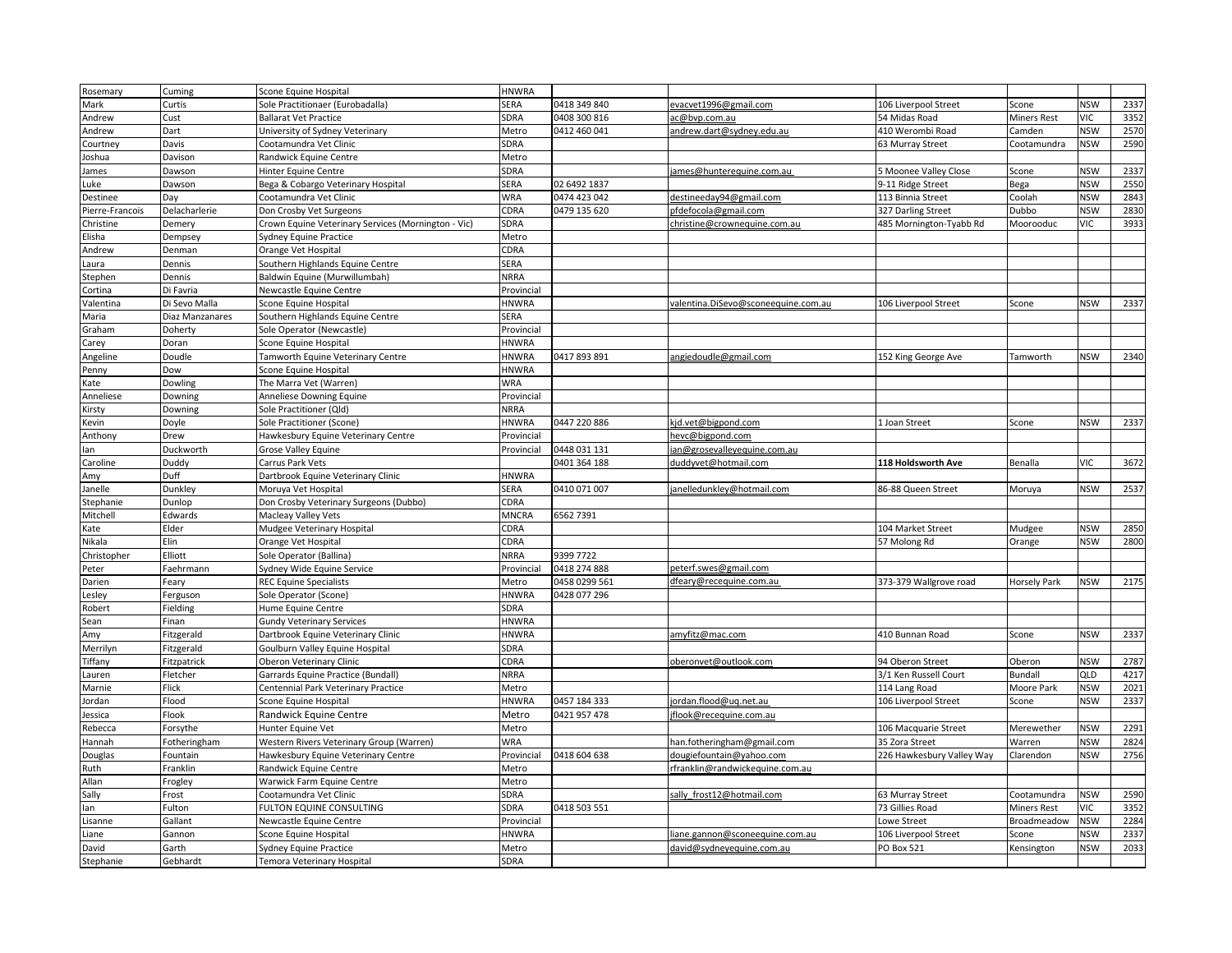| Rosemary        | Cuming          | Scone Equine Hospital                               | <b>HNWRA</b> |               |                                     |                           |                     |            |      |
|-----------------|-----------------|-----------------------------------------------------|--------------|---------------|-------------------------------------|---------------------------|---------------------|------------|------|
| Mark            | Curtis          | Sole Practitionaer (Eurobadalla)                    | SERA         | 0418 349 840  | evacvet1996@gmail.com               | 106 Liverpool Street      | Scone               | <b>NSW</b> | 2337 |
| Andrew          | Cust            | <b>Ballarat Vet Practice</b>                        | <b>SDRA</b>  | 0408 300 816  | ac@bvp.com.au                       | 54 Midas Road             | <b>Miners Rest</b>  | VIC        | 3352 |
| Andrew          | Dart            | University of Sydney Veterinary                     | Metro        | 0412 460 041  | andrew.dart@sydney.edu.au           | 410 Werombi Road          | Camden              | <b>NSW</b> | 2570 |
| Courtney        | Davis           | Cootamundra Vet Clinic                              | SDRA         |               |                                     | 63 Murray Street          | Cootamundra         | <b>NSW</b> | 2590 |
| Joshua          | Davison         | Randwick Equine Centre                              | Metro        |               |                                     |                           |                     |            |      |
| James           | Dawson          | Hinter Equine Centre                                | SDRA         |               | james@hunterequine.com.au           | 5 Moonee Valley Close     | Scone               | <b>NSW</b> | 2337 |
| Luke            | Dawson          | Bega & Cobargo Veterinary Hospital                  | SERA         | 02 6492 1837  |                                     | 9-11 Ridge Street         | Bega                | <b>NSW</b> | 2550 |
| Destinee        | Day             | Cootamundra Vet Clinic                              | <b>WRA</b>   | 0474 423 042  | destineeday94@gmail.com             | 113 Binnia Street         | Coolah              | <b>NSW</b> | 2843 |
| Pierre-Francois | Delacharlerie   | Don Crosby Vet Surgeons                             | CDRA         | 0479 135 620  | pfdefocola@gmail.com                | 327 Darling Street        | Dubbo               | <b>NSW</b> | 2830 |
| Christine       | Demery          | Crown Equine Veterinary Services (Mornington - Vic) | SDRA         |               | christine@crownequine.com.au        | 485 Mornington-Tyabb Rd   | Moorooduc           | <b>VIC</b> | 3933 |
| Elisha          | Dempsey         | Sydney Equine Practice                              | Metro        |               |                                     |                           |                     |            |      |
| Andrew          | Denman          | Orange Vet Hospital                                 | CDRA         |               |                                     |                           |                     |            |      |
| Laura           | Dennis          | Southern Highlands Equine Centre                    | SERA         |               |                                     |                           |                     |            |      |
| Stephen         | Dennis          | Baldwin Equine (Murwillumbah)                       | <b>NRRA</b>  |               |                                     |                           |                     |            |      |
|                 | Di Favria       | Newcastle Equine Centre                             |              |               |                                     |                           |                     |            |      |
| Cortina         |                 |                                                     | Provincial   |               |                                     |                           |                     |            |      |
| Valentina       | Di Sevo Malla   | Scone Equine Hospital                               | <b>HNWRA</b> |               | valentina.DiSevo@sconeequine.com.au | 106 Liverpool Street      | Scone               | <b>NSW</b> | 2337 |
| Maria           | Diaz Manzanares | Southern Highlands Equine Centre                    | SERA         |               |                                     |                           |                     |            |      |
| Graham          | Doherty         | Sole Operator (Newcastle)                           | Provincial   |               |                                     |                           |                     |            |      |
| Carey           | Doran           | Scone Equine Hospital                               | <b>HNWRA</b> |               |                                     |                           |                     |            |      |
| Angeline        | Doudle          | Tamworth Equine Veterinary Centre                   | <b>HNWRA</b> | 0417 893 891  | angiedoudle@gmail.com               | 152 King George Ave       | Tamworth            | <b>NSW</b> | 2340 |
| Penny           | Dow             | Scone Equine Hospital                               | <b>HNWRA</b> |               |                                     |                           |                     |            |      |
| Kate            | Dowling         | The Marra Vet (Warren)                              | <b>WRA</b>   |               |                                     |                           |                     |            |      |
| Anneliese       | Downing         | Anneliese Downing Equine                            | Provincial   |               |                                     |                           |                     |            |      |
| Kirsty          | Downing         | Sole Practitioner (Qld)                             | <b>NRRA</b>  |               |                                     |                           |                     |            |      |
| Kevin           | Doyle           | Sole Practitioner (Scone)                           | <b>HNWRA</b> | 0447 220 886  | kjd.vet@bigpond.com                 | 1 Joan Street             | Scone               | <b>NSW</b> | 2337 |
| Anthony         | Drew            | Hawkesbury Equine Veterinary Centre                 | Provincial   |               | hevc@bigpond.com                    |                           |                     |            |      |
| lan             | Duckworth       | Grose Valley Equine                                 | Provincial   | 0448 031 131  | an@grosevalleyequine.com.au         |                           |                     |            |      |
| Caroline        | Duddy           | Carrus Park Vets                                    |              | 0401 364 188  | duddyvet@hotmail.com                | 118 Holdsworth Ave        | Benalla             | <b>VIC</b> | 3672 |
| Amy             | Duff            | Dartbrook Equine Veterinary Clinic                  | <b>HNWRA</b> |               |                                     |                           |                     |            |      |
| Janelle         | Dunkley         | Moruya Vet Hospital                                 | SERA         | 0410 071 007  | janelledunkley@hotmail.com          | 86-88 Queen Street        | Moruya              | <b>NSW</b> | 2537 |
| Stephanie       | Dunlop          | Don Crosby Veterinary Surgeons (Dubbo)              | CDRA         |               |                                     |                           |                     |            |      |
| Mitchell        | Edwards         | Macleay Valley Vets                                 | <b>MNCRA</b> | 6562 7391     |                                     |                           |                     |            |      |
| Kate            | Elder           | Mudgee Veterinary Hospital                          | CDRA         |               |                                     | 104 Market Street         | Mudgee              | <b>NSW</b> | 2850 |
| Nikala          | Elin            | Orange Vet Hospital                                 | CDRA         |               |                                     | 57 Molong Rd              | Orange              | <b>NSW</b> | 2800 |
| Christopher     | Elliott         | Sole Operator (Ballina)                             | <b>NRRA</b>  | 9399 7722     |                                     |                           |                     |            |      |
| Peter           | Faehrmann       | Sydney Wide Equine Service                          | Provincial   | 0418 274 888  | peterf.swes@gmail.com               |                           |                     |            |      |
| Darien          | Feary           | <b>REC Equine Specialists</b>                       | Metro        | 0458 0299 561 | dfeary@recequine.com.au             | 373-379 Wallgrove road    | <b>Horsely Park</b> | <b>NSW</b> | 2175 |
| esley.          | Ferguson        | Sole Operator (Scone)                               | <b>HNWRA</b> | 0428 077 296  |                                     |                           |                     |            |      |
| Robert          | Fielding        | Hume Equine Centre                                  | SDRA         |               |                                     |                           |                     |            |      |
| Sean            | Finan           | <b>Gundy Veterinary Services</b>                    | <b>HNWRA</b> |               |                                     |                           |                     |            |      |
| Amy             | Fitzgerald      | Dartbrook Equine Veterinary Clinic                  | <b>HNWRA</b> |               | amyfitz@mac.com                     | 410 Bunnan Road           | Scone               | <b>NSW</b> | 2337 |
| Merrilyn        | Fitzgerald      | Goulburn Valley Equine Hospital                     | SDRA         |               |                                     |                           |                     |            |      |
| Tiffany         | Fitzpatrick     | Oberon Veterinary Clinic                            | CDRA         |               | oberonvet@outlook.com               | 94 Oberon Street          | Oberon              | <b>NSW</b> | 2787 |
| Lauren          | Fletcher        | Garrards Equine Practice (Bundall)                  | <b>NRRA</b>  |               |                                     | 3/1 Ken Russell Court     | <b>Bundall</b>      | QLD        | 4217 |
| Marnie          | Flick           | Centennial Park Veterinary Practice                 | Metro        |               |                                     | 114 Lang Road             | Moore Park          | <b>NSW</b> | 2021 |
| Jordan          | Flood           | Scone Equine Hospital                               | <b>HNWRA</b> | 0457 184 333  | ordan.flood@ug.net.au               | 106 Liverpool Street      | Scone               | <b>NSW</b> | 2337 |
| Jessica         | Flook           | Randwick Equine Centre                              | Metro        | 0421 957 478  | jflook@recequine.com.au             |                           |                     |            |      |
| Rebecca         | Forsythe        | Hunter Equine Vet                                   | Metro        |               |                                     | 106 Macquarie Street      | Merewether          | <b>NSW</b> | 2291 |
| Hannah          | Fotheringham    | Western Rivers Veterinary Group (Warren)            | <b>WRA</b>   |               | han.fotheringham@gmail.com          | 35 Zora Street            | Warren              | <b>NSW</b> | 2824 |
| Douglas         | Fountain        | Hawkesbury Equine Veterinary Centre                 | Provincial   | 0418 604 638  | dougiefountain@yahoo.com            | 226 Hawkesbury Valley Way | Clarendon           | <b>NSW</b> | 2756 |
| Ruth            | Franklin        | Randwick Equine Centre                              | Metro        |               | rfranklin@randwickequine.com.au     |                           |                     |            |      |
| Allan           |                 |                                                     |              |               |                                     |                           |                     |            |      |
|                 | Frogley         | Warwick Farm Equine Centre                          | Metro        |               |                                     |                           |                     |            |      |
| Sally           | Frost           | Cootamundra Vet Clinic                              | SDRA         |               | sally frost12@hotmail.com           | 63 Murray Street          | Cootamundra         | <b>NSW</b> | 2590 |
| lan             | Fulton          | FULTON EQUINE CONSULTING                            | SDRA         | 0418 503 551  |                                     | 73 Gillies Road           | <b>Miners Rest</b>  | VIC        | 3352 |
| Lisanne         | Gallant         | Newcastle Equine Centre                             | Provincial   |               |                                     | Lowe Street               | Broadmeadow         | <b>NSW</b> | 2284 |
| Liane           | Gannon          | Scone Equine Hospital                               | <b>HNWRA</b> |               | liane.gannon@sconeequine.com.au     | 106 Liverpool Street      | Scone               | <b>NSW</b> | 2337 |
| David           | Garth           | Sydney Equine Practice                              | Metro        |               | david@sydneyequine.com.au           | <b>PO Box 521</b>         | Kensington          | <b>NSW</b> | 2033 |
| Stephanie       | Gebhardt        | Temora Veterinary Hospital                          | <b>SDRA</b>  |               |                                     |                           |                     |            |      |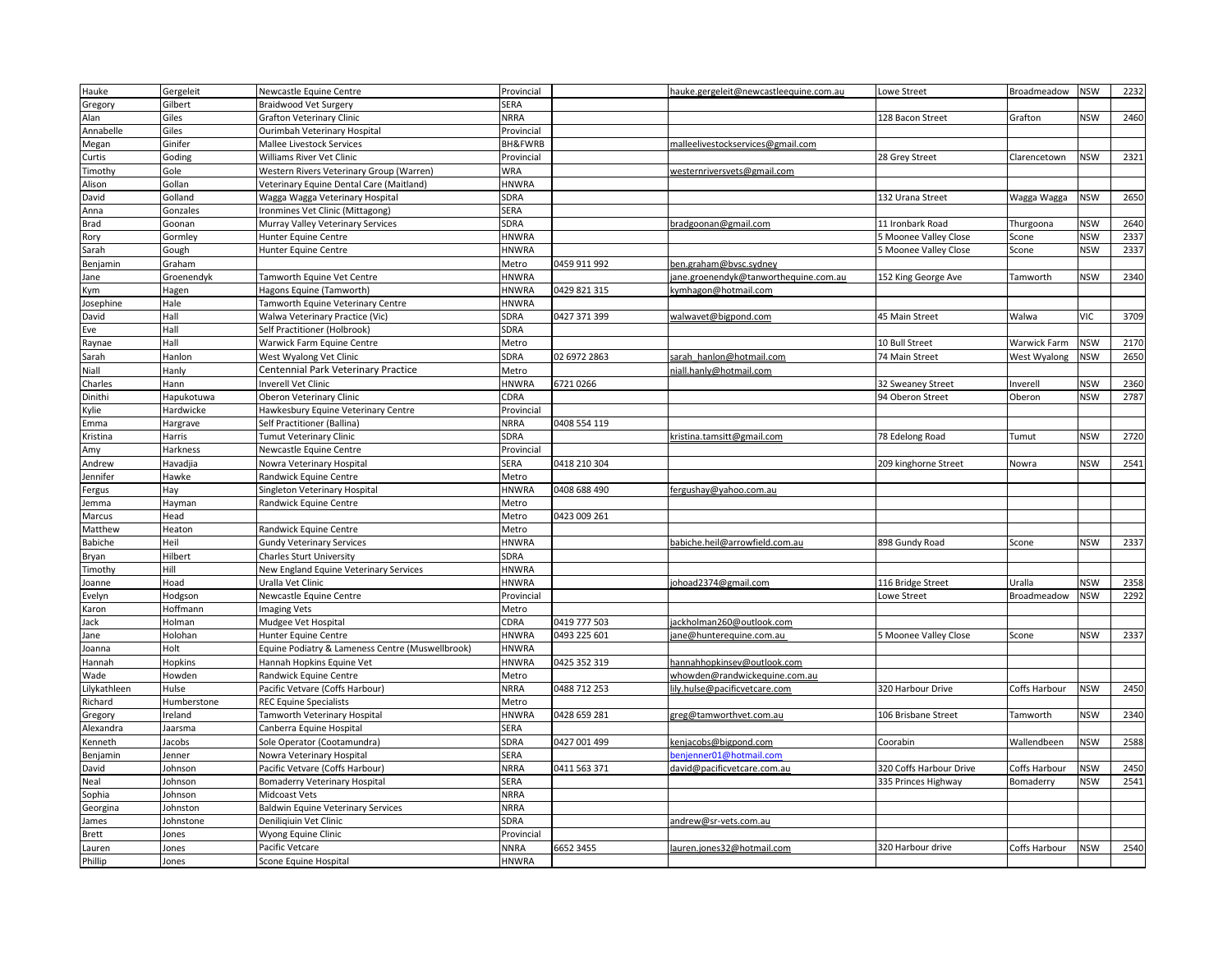| Hauke                                                                                                                                                        | Gergeleit   | Newcastle Equine Centre                          | Provincial         |              | hauke.gergeleit@newcastleequine.com.au | Lowe Street             | Broadmeadow   | <b>NSW</b> | 2232 |
|--------------------------------------------------------------------------------------------------------------------------------------------------------------|-------------|--------------------------------------------------|--------------------|--------------|----------------------------------------|-------------------------|---------------|------------|------|
| Gregory                                                                                                                                                      | Gilbert     | Braidwood Vet Surgery                            | SERA               |              |                                        |                         |               |            |      |
| Alan                                                                                                                                                         | Giles       | <b>Grafton Veterinary Clinic</b>                 | <b>NRRA</b>        |              |                                        | 128 Bacon Street        | Grafton       | <b>NSW</b> | 2460 |
| Annabelle                                                                                                                                                    | Giles       | Ourimbah Veterinary Hospital                     | Provincial         |              |                                        |                         |               |            |      |
| Megan                                                                                                                                                        | Ginifer     | Mallee Livestock Services                        | <b>BH&amp;FWRB</b> |              | malleelivestockservices@gmail.com      |                         |               |            |      |
| Curtis                                                                                                                                                       | Goding      | Williams River Vet Clinic                        | Provincial         |              |                                        | 28 Grey Street          | Clarencetown  | <b>NSW</b> | 2321 |
| Timoth <sub>)</sub>                                                                                                                                          | Gole        | Western Rivers Veterinary Group (Warren)         | WRA                |              | westernriversvets@gmail.com            |                         |               |            |      |
| Alison                                                                                                                                                       | Gollan      | Veterinary Equine Dental Care (Maitland)         | <b>HNWRA</b>       |              |                                        |                         |               |            |      |
| David                                                                                                                                                        | Golland     | Wagga Wagga Veterinary Hospital                  | SDRA               |              |                                        | 132 Urana Street        | Wagga Wagga   | <b>NSW</b> | 2650 |
| Anna                                                                                                                                                         | Gonzales    | Ironmines Vet Clinic (Mittagong)                 | SERA               |              |                                        |                         |               |            |      |
| Brad                                                                                                                                                         | Goonan      | Murray Valley Veterinary Services                | SDRA               |              | bradgoonan@gmail.com                   | 11 Ironbark Road        | Thurgoona     | <b>NSW</b> | 2640 |
| <b>Rory</b>                                                                                                                                                  | Gormley     | Hunter Equine Centre                             | <b>HNWRA</b>       |              |                                        | 5 Moonee Valley Close   | Scone         | <b>NSW</b> | 2337 |
| Sarah                                                                                                                                                        | Gough       | Hunter Equine Centre                             | <b>HNWRA</b>       |              |                                        | 5 Moonee Valley Close   | Scone         | <b>NSW</b> | 2337 |
| Benjamin                                                                                                                                                     | Graham      |                                                  | Metro              | 0459 911 992 | ben.graham@bysc.sydney                 |                         |               |            |      |
| Jane                                                                                                                                                         | Groenendyk  | <b>Tamworth Equine Vet Centre</b>                | <b>HNWRA</b>       |              | jane.groenendyk@tanworthequine.com.au  | 152 King George Ave     | Tamworth      | <b>NSW</b> | 2340 |
| Kym                                                                                                                                                          | Hagen       | Hagons Equine (Tamworth)                         | <b>HNWRA</b>       | 0429 821 315 | kymhagon@hotmail.com                   |                         |               |            |      |
| losephine                                                                                                                                                    | Hale        | Tamworth Equine Veterinary Centre                | <b>HNWRA</b>       |              |                                        |                         |               |            |      |
| David                                                                                                                                                        | Hall        | Walwa Veterinary Practice (Vic)                  | SDRA               | 0427 371 399 | walwavet@bigpond.com                   | 45 Main Street          | Walwa         | <b>VIC</b> | 3709 |
| Eve                                                                                                                                                          | Hall        | Self Practitioner (Holbrook)                     | SDRA               |              |                                        |                         |               |            |      |
| Raynae                                                                                                                                                       | Hall        | Warwick Farm Equine Centre                       | Metro              |              |                                        | 10 Bull Street          | Warwick Farm  | <b>NSW</b> | 2170 |
| Sarah                                                                                                                                                        | Hanlon      | West Wyalong Vet Clinic                          | SDRA               | 02 6972 2863 | sarah hanlon@hotmail.com               | 74 Main Street          | West Wyalong  | <b>NSW</b> | 2650 |
| Niall                                                                                                                                                        | Hanly       | Centennial Park Veterinary Practice              | Metro              |              | niall.hanly@hotmail.com                |                         |               |            |      |
| Charles                                                                                                                                                      | Hann        | <b>Inverell Vet Clinic</b>                       | <b>HNWRA</b>       | 67210266     |                                        | 32 Sweaney Street       | Inverell      | <b>NSW</b> | 2360 |
| Dinithi                                                                                                                                                      | Hapukotuwa  | Oberon Veterinary Clinic                         | CDRA               |              |                                        | 94 Oberon Street        | Oberon        | <b>NSW</b> | 2787 |
| <vlie< td=""><td>Hardwicke</td><td>Hawkesbury Equine Veterinary Centre</td><td>Provincial</td><td></td><td></td><td></td><td></td><td></td><td></td></vlie<> | Hardwicke   | Hawkesbury Equine Veterinary Centre              | Provincial         |              |                                        |                         |               |            |      |
| Emma                                                                                                                                                         | Hargrave    | Self Practitioner (Ballina)                      | <b>NRRA</b>        | 0408 554 119 |                                        |                         |               |            |      |
| Kristina                                                                                                                                                     | Harris      | <b>Tumut Veterinary Clinic</b>                   | SDRA               |              | kristina.tamsitt@gmail.com             | 78 Edelong Road         | Tumut         | <b>NSW</b> | 2720 |
| Amy                                                                                                                                                          | Harkness    | Newcastle Equine Centre                          | Provincial         |              |                                        |                         |               |            |      |
| Andrew                                                                                                                                                       | Havadjia    | Nowra Veterinary Hospital                        | SERA               | 0418 210 304 |                                        | 209 kinghorne Street    | Nowra         | <b>NSW</b> | 2541 |
| lennifer                                                                                                                                                     | Hawke       | Randwick Equine Centre                           | Metro              |              |                                        |                         |               |            |      |
| ergus <sup>-</sup>                                                                                                                                           | Hay         | Singleton Veterinary Hospital                    | <b>HNWRA</b>       | 0408 688 490 | fergushay@yahoo.com.au                 |                         |               |            |      |
| emma                                                                                                                                                         | Hayman      | Randwick Equine Centre                           | Metro              |              |                                        |                         |               |            |      |
| Marcus                                                                                                                                                       | Head        |                                                  | Metro              | 0423 009 261 |                                        |                         |               |            |      |
| Matthew                                                                                                                                                      | Heaton      | Randwick Equine Centre                           | Metro              |              |                                        |                         |               |            |      |
| Babiche                                                                                                                                                      | Heil        | <b>Gundy Veterinary Services</b>                 | <b>HNWRA</b>       |              | babiche.heil@arrowfield.com.au         | 898 Gundy Road          | Scone         | <b>NSW</b> | 2337 |
| Bryan                                                                                                                                                        | Hilbert     | <b>Charles Sturt University</b>                  | SDRA               |              |                                        |                         |               |            |      |
| Timothy                                                                                                                                                      | Hill        | New England Equine Veterinary Services           | <b>HNWRA</b>       |              |                                        |                         |               |            |      |
| oanne                                                                                                                                                        | Hoad        | Uralla Vet Clinic                                | <b>HNWRA</b>       |              | johoad2374@gmail.com                   | 116 Bridge Street       | Uralla        | <b>NSW</b> | 2358 |
| Evelyn                                                                                                                                                       | Hodgson     | Newcastle Equine Centre                          | Provincial         |              |                                        | Lowe Street             | Broadmeadow   | <b>NSW</b> | 2292 |
|                                                                                                                                                              | Hoffmann    |                                                  | Metro              |              |                                        |                         |               |            |      |
| <aron<br>Jack</aron<br>                                                                                                                                      | Holman      | Imaging Vets                                     | CDRA               | 0419 777 503 | ackholman260@outlook.com               |                         |               |            |      |
|                                                                                                                                                              | Holohan     | Mudgee Vet Hospital                              | <b>HNWRA</b>       | 0493 225 601 | jane@hunterequine.com.au               |                         |               | <b>NSW</b> | 2337 |
| Jane                                                                                                                                                         | Holt        | Hunter Equine Centre                             |                    |              |                                        | 5 Moonee Valley Close   | Scone         |            |      |
| loanna                                                                                                                                                       |             | Equine Podiatry & Lameness Centre (Muswellbrook) | <b>HNWRA</b>       |              |                                        |                         |               |            |      |
| Hannah                                                                                                                                                       | Hopkins     | Hannah Hopkins Equine Vet                        | <b>HNWRA</b>       | 0425 352 319 | hannahhopkinsev@outlook.com            |                         |               |            |      |
| Wade                                                                                                                                                         | Howden      | Randwick Equine Centre                           | Metro              |              | whowden@randwickequine.com.au          |                         |               |            |      |
| Lilykathleen                                                                                                                                                 | Hulse       | Pacific Vetvare (Coffs Harbour)                  | NRRA               | 0488 712 253 | lily.hulse@pacificvetcare.com          | 320 Harbour Drive       | Coffs Harbour | <b>NSW</b> | 2450 |
| Richard                                                                                                                                                      | Humberstone | <b>REC Equine Specialists</b>                    | Metro              |              |                                        |                         |               |            |      |
| Gregory                                                                                                                                                      | reland      | Tamworth Veterinary Hospital                     | <b>HNWRA</b>       | 0428 659 281 | greg@tamworthvet.com.au                | 106 Brisbane Street     | Tamworth      | <b>NSW</b> | 2340 |
| Alexandra                                                                                                                                                    | Jaarsma     | Canberra Equine Hospital                         | SERA               |              |                                        |                         |               |            |      |
| Kenneth                                                                                                                                                      | Jacobs      | Sole Operator (Cootamundra)                      | SDRA               | 0427 001 499 | kenjacobs@bigpond.com                  | Coorabin                | Wallendbeen   | <b>NSW</b> | 2588 |
| Benjamin                                                                                                                                                     | Jenner      | Nowra Veterinary Hospital                        | <b>SERA</b>        |              | benjenner01@hotmail.com                |                         |               |            |      |
| David                                                                                                                                                        | Johnson     | Pacific Vetvare (Coffs Harbour)                  | <b>NRRA</b>        | 0411 563 371 | david@pacificvetcare.com.au            | 320 Coffs Harbour Drive | Coffs Harbour | <b>NSW</b> | 2450 |
| Neal                                                                                                                                                         | Johnson     | <b>Bomaderry Veterinary Hospital</b>             | SERA               |              |                                        | 335 Princes Highway     | Bomaderry     | <b>NSW</b> | 2541 |
| Sophia                                                                                                                                                       | Johnson     | Midcoast Vets                                    | <b>NRRA</b>        |              |                                        |                         |               |            |      |
| Georgina                                                                                                                                                     | Johnston    | <b>Baldwin Equine Veterinary Services</b>        | <b>NRRA</b>        |              |                                        |                         |               |            |      |
| James                                                                                                                                                        | Johnstone   | Deniligiuin Vet Clinic                           | SDRA               |              | andrew@sr-vets.com.au                  |                         |               |            |      |
| Brett                                                                                                                                                        | Jones       | Wyong Equine Clinic                              | Provincial         |              |                                        |                         |               |            |      |
| auren                                                                                                                                                        | Jones       | Pacific Vetcare                                  | NNRA               | 6652 3455    | auren.jones32@hotmail.com              | 320 Harbour drive       | Coffs Harbour | <b>NSW</b> | 2540 |
| Phillip                                                                                                                                                      | Jones       | Scone Equine Hospital                            | <b>HNWRA</b>       |              |                                        |                         |               |            |      |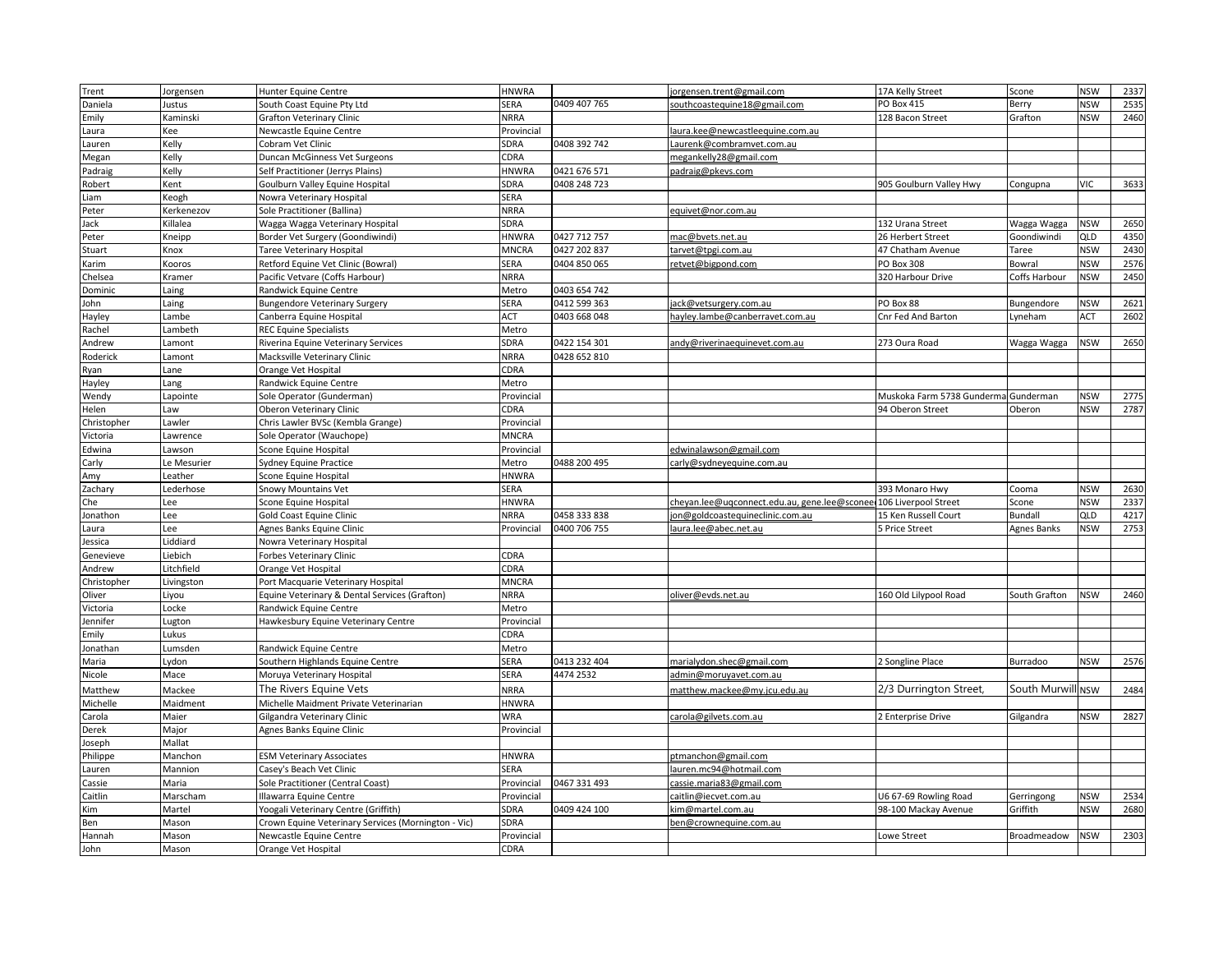| Trent       | Jorgensen   | Hunter Equine Centre                                | <b>HNWRA</b> |              | jorgensen.trent@gmail.com                                         | 17A Kelly Street           | Scone                        | <b>NSW</b> | 2337 |
|-------------|-------------|-----------------------------------------------------|--------------|--------------|-------------------------------------------------------------------|----------------------------|------------------------------|------------|------|
| Daniela     | Justus      | South Coast Equine Pty Ltd                          | SERA         | 0409 407 765 | southcoastequine18@gmail.com                                      | <b>PO Box 415</b>          | Berry                        | <b>NSW</b> | 2535 |
| Emily       | Kaminski    | <b>Grafton Veterinary Clinic</b>                    | <b>NRRA</b>  |              |                                                                   | 128 Bacon Street           | Grafton                      | <b>NSW</b> | 2460 |
| Laura       | Kee         | Newcastle Equine Centre                             | Provincial   |              | aura.kee@newcastleequine.com.au                                   |                            |                              |            |      |
| Lauren      | Kelly       | Cobram Vet Clinic                                   | SDRA         | 0408 392 742 | Laurenk@combramvet.com.au                                         |                            |                              |            |      |
| Megan       | Kelly       | Duncan McGinness Vet Surgeons                       | CDRA         |              | megankelly28@gmail.com                                            |                            |                              |            |      |
| Padraig     | Kelly       | Self Practitioner (Jerrys Plains)                   | <b>HNWRA</b> | 0421 676 571 | padraig@pkeys.com                                                 |                            |                              |            |      |
| Robert      | Kent        | Goulburn Valley Equine Hospital                     | SDRA         | 0408 248 723 |                                                                   | 905 Goulburn Valley Hwy    | Congupna                     | <b>VIC</b> | 3633 |
| Liam        | Keogh       | Nowra Veterinary Hospital                           | SERA         |              |                                                                   |                            |                              |            |      |
| Peter       | Kerkenezov  | Sole Practitioner (Ballina)                         | <b>NRRA</b>  |              | equivet@nor.com.au                                                |                            |                              |            |      |
| Jack        | Killalea    | Wagga Wagga Veterinary Hospital                     | SDRA         |              |                                                                   | 132 Urana Street           | Wagga Wagga                  | <b>NSW</b> | 2650 |
| Peter       | Kneipp      | Border Vet Surgery (Goondiwindi)                    | <b>HNWRA</b> | 0427 712 757 | mac@bvets.net.au                                                  | 26 Herbert Street          | Goondiwindi                  | QLD        | 4350 |
| Stuart      | Knox        | Taree Veterinary Hospital                           | MNCRA        | 0427 202 837 | tarvet@tpgi.com.au                                                | 47 Chatham Avenue          | Taree                        | <b>NSW</b> | 2430 |
| Karim       | Kooros      | Retford Equine Vet Clinic (Bowral)                  | SERA         | 0404 850 065 | retvet@bigpond.com                                                | PO Box 308                 | Bowral                       | <b>NSW</b> | 2576 |
| Chelsea     | Kramer      | Pacific Vetvare (Coffs Harbour)                     | <b>NRRA</b>  |              |                                                                   | 320 Harbour Drive          | Coffs Harbour                | <b>NSW</b> | 2450 |
| Dominic     | aing        | Randwick Equine Centre                              | Metro        | 0403 654 742 |                                                                   |                            |                              |            |      |
| John        | aing        | <b>Bungendore Veterinary Surgery</b>                | SERA         | 0412 599 363 | ack@vetsurgery.com.au                                             | PO Box 88                  | Bungendore                   | <b>NSW</b> | 2621 |
| Hayley      | .ambe       | Canberra Equine Hospital                            | ACT          | 0403 668 048 | hayley.lambe@canberravet.com.au                                   | Cnr Fed And Barton         | yneham.                      | ACT        | 2602 |
| Rachel      | .ambeth     | <b>REC Equine Specialists</b>                       | Metro        |              |                                                                   |                            |                              |            |      |
| Andrew      | .amont      | Riverina Equine Veterinary Services                 | SDRA         | 0422 154 301 | andy@riverinaequinevet.com.au                                     | 273 Oura Road              | Wagga Wagga                  | <b>NSW</b> | 2650 |
| Roderick    | .amont      | Macksville Veterinary Clinic                        | <b>NRRA</b>  | 0428 652 810 |                                                                   |                            |                              |            |      |
| Ryan        | Lane        | Orange Vet Hospital                                 | CDRA         |              |                                                                   |                            |                              |            |      |
| Hayley      | ang         | Randwick Equine Centre                              | Metro        |              |                                                                   |                            |                              |            |      |
| Wendy       | Lapointe    | Sole Operator (Gunderman)                           | Provincial   |              |                                                                   | Muskoka Farm 5738 Gunderma | Gunderman                    | <b>NSW</b> | 2775 |
| Helen       | Law         | Oberon Veterinary Clinic                            | CDRA         |              |                                                                   | 94 Oberon Street           | Oberon                       | <b>NSW</b> | 2787 |
| Christopher | Lawler      | Chris Lawler BVSc (Kembla Grange)                   | Provincial   |              |                                                                   |                            |                              |            |      |
| Victoria    | Lawrence    | Sole Operator (Wauchope)                            | <b>MNCRA</b> |              |                                                                   |                            |                              |            |      |
| Edwina      | awson       | Scone Equine Hospital                               | Provincial   |              | edwinalawson@gmail.com                                            |                            |                              |            |      |
| Carly       | e Mesurier. | Sydney Equine Practice                              | Metro        | 0488 200 495 | carly@sydneyequine.com.au                                         |                            |                              |            |      |
| Amy         | .eather     | Scone Equine Hospital                               | <b>HNWRA</b> |              |                                                                   |                            |                              |            |      |
| Zachary     | Lederhose   | Snowy Mountains Vet                                 | SERA         |              |                                                                   | 393 Monaro Hwy             | Cooma                        | <b>NSW</b> | 2630 |
| Che         | Lee         | Scone Equine Hospital                               | <b>HNWRA</b> |              | cheyan.lee@ugconnect.edu.au, gene.lee@sconee 106 Liverpool Street |                            | Scone                        | <b>NSW</b> | 2337 |
| Jonathon    | Lee         | <b>Gold Coast Equine Clinic</b>                     | <b>NRRA</b>  | 0458 333 838 | jon@goldcoastequineclinic.com.au                                  | 15 Ken Russell Court       | Bundall                      | QLD        | 4217 |
| Laura       | Lee         | Agnes Banks Equine Clinic                           | Provincial   | 0400 706 755 | laura.lee@abec.net.au                                             | 5 Price Street             | Agnes Banks                  | <b>NSW</b> | 2753 |
| Jessica     | .iddiard    | Nowra Veterinary Hospital                           |              |              |                                                                   |                            |                              |            |      |
| Genevieve   | Liebich     | Forbes Veterinary Clinic                            | CDRA         |              |                                                                   |                            |                              |            |      |
| Andrew      | Litchfield  | Orange Vet Hospital                                 | CDRA         |              |                                                                   |                            |                              |            |      |
| Christopher | Livingston  | Port Macquarie Veterinary Hospital                  | <b>MNCRA</b> |              |                                                                   |                            |                              |            |      |
| Oliver      | .iyou       | Equine Veterinary & Dental Services (Grafton)       | <b>NRRA</b>  |              | oliver@evds.net.au                                                | 160 Old Lilypool Road      | South Grafton                | <b>NSW</b> | 2460 |
| Victoria    | Locke       | Randwick Equine Centre                              | Metro        |              |                                                                   |                            |                              |            |      |
| Jennifer    | ugton.      | Hawkesbury Equine Veterinary Centre                 | Provincial   |              |                                                                   |                            |                              |            |      |
| Emily       | Lukus       |                                                     | CDRA         |              |                                                                   |                            |                              |            |      |
| Jonathan    | Lumsden     | Randwick Equine Centre                              | Metro        |              |                                                                   |                            |                              |            |      |
| Maria       | Lydon       | Southern Highlands Equine Centre                    | SERA         | 0413 232 404 | marialydon.shec@gmail.com                                         | 2 Songline Place           | Burradoo                     | <b>NSW</b> | 2576 |
| Nicole      | Mace        | Moruya Veterinary Hospital                          | SERA         | 4474 2532    | admin@moruyavet.com.au                                            |                            |                              |            |      |
| Matthew     | Mackee      | The Rivers Equine Vets                              | <b>NRRA</b>  |              | matthew.mackee@my.jcu.edu.au                                      | 2/3 Durrington Street,     | South Murwill <sub>NSW</sub> |            | 2484 |
| Michelle    | Maidment    | Michelle Maidment Private Veterinarian              | <b>HNWRA</b> |              |                                                                   |                            |                              |            |      |
| Carola      | Maier       | Gilgandra Veterinary Clinic                         | <b>WRA</b>   |              | carola@gilvets.com.au                                             | 2 Enterprise Drive         | Gilgandra                    | <b>NSW</b> | 2827 |
| Derek       | Major       | Agnes Banks Equine Clinic                           | Provincial   |              |                                                                   |                            |                              |            |      |
| Joseph      | Mallat      |                                                     |              |              |                                                                   |                            |                              |            |      |
| Philippe    | Manchon     | <b>ESM Veterinary Associates</b>                    | <b>HNWRA</b> |              | ptmanchon@gmail.com                                               |                            |                              |            |      |
| auren.      | Mannion     | Casey's Beach Vet Clinic                            | SERA         |              | auren.mc94@hotmail.com                                            |                            |                              |            |      |
| Cassie      | Maria       | Sole Practitioner (Central Coast)                   | Provincial   | 0467 331 493 | cassie.maria83@gmail.com                                          |                            |                              |            |      |
| Caitlin     | Marscham    | Illawarra Equine Centre                             | Provincial   |              | caitlin@iecvet.com.au                                             | U6 67-69 Rowling Road      | Gerringong                   | <b>NSW</b> | 2534 |
| Kim         | Martel      | Yoogali Veterinary Centre (Griffith)                | SDRA         | 0409 424 100 | kim@martel.com.au                                                 | 98-100 Mackay Avenue       | Griffith                     | <b>NSW</b> | 2680 |
| Ben         | Mason       | Crown Equine Veterinary Services (Mornington - Vic) | SDRA         |              | ben@crownequine.com.au                                            |                            |                              |            |      |
| Hannah      | Mason       | Newcastle Equine Centre                             | Provincial   |              |                                                                   | Lowe Street                | Broadmeadow                  | <b>NSW</b> | 2303 |
| John        | Mason       | Orange Vet Hospital                                 | CDRA         |              |                                                                   |                            |                              |            |      |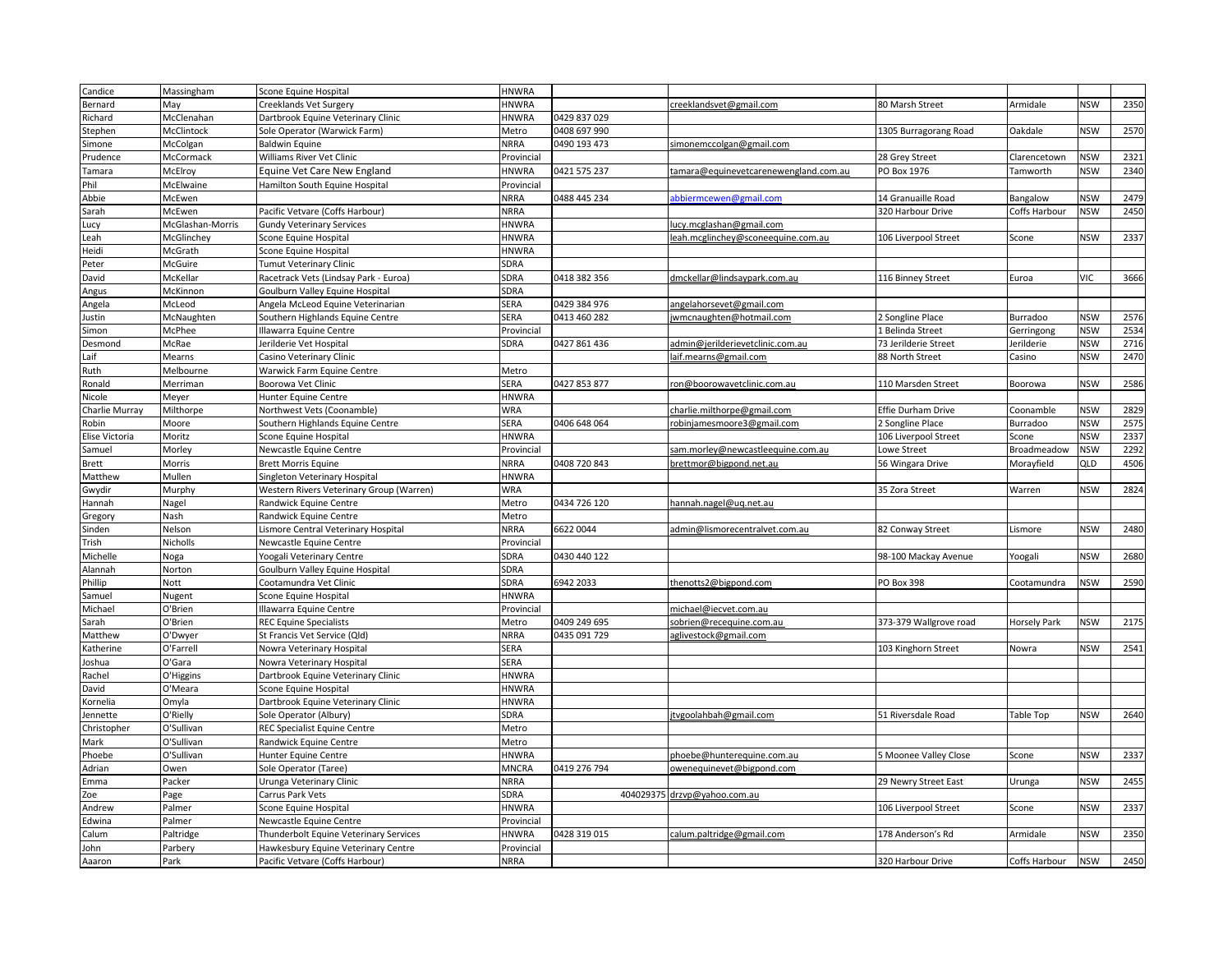| Candice        | Massingham       | Scone Equine Hospital                    | <b>HNWRA</b> |              |                                       |                        |                     |            |      |
|----------------|------------------|------------------------------------------|--------------|--------------|---------------------------------------|------------------------|---------------------|------------|------|
| Bernard        | Vlay             | Creeklands Vet Surgery                   | <b>HNWRA</b> |              | creeklandsvet@gmail.com               | 80 Marsh Street        | Armidale            | <b>NSW</b> | 2350 |
| Richard        | McClenahan       | Dartbrook Equine Veterinary Clinic       | <b>HNWRA</b> | 0429 837 029 |                                       |                        |                     |            |      |
| Stephen        | McClintock       | Sole Operator (Warwick Farm)             | Metro        | 0408 697 990 |                                       | 1305 Burragorang Road  | Oakdale             | <b>NSW</b> | 2570 |
| Simone         | McColgan         | <b>Baldwin Equine</b>                    | NRRA         | 0490 193 473 | simonemccolgan@gmail.com              |                        |                     |            |      |
| Prudence       | McCormack        | Williams River Vet Clinic                | Provincial   |              |                                       | 28 Grey Street         | Clarencetown        | <b>NSW</b> | 2321 |
| Tamara         | McElroy          | Equine Vet Care New England              | <b>HNWRA</b> | 0421 575 237 | tamara@equinevetcarenewengland.com.au | PO Box 1976            | Tamworth            | <b>NSW</b> | 2340 |
| Phil           | McElwaine        | Hamilton South Equine Hospital           | Provincial   |              |                                       |                        |                     |            |      |
| Abbie          | McEwen           |                                          | <b>NRRA</b>  | 0488 445 234 | abbiermcewen@gmail.com                | 14 Granuaille Road     | Bangalow            | <b>NSW</b> | 2479 |
| Sarah          | McEwen           | Pacific Vetvare (Coffs Harbour)          | NRRA         |              |                                       | 320 Harbour Drive      | Coffs Harbour       | <b>NSW</b> | 2450 |
| Lucy           | McGlashan-Morris | <b>Gundy Veterinary Services</b>         | HNWRA        |              | lucy.mcglashan@gmail.com              |                        |                     |            |      |
| Leah           | McGlinchey       | Scone Equine Hospital                    | <b>HNWRA</b> |              | leah.mcglinchey@sconeequine.com.au    | 106 Liverpool Street   | Scone               | <b>NSW</b> | 2337 |
| Heidi          | McGrath          | Scone Equine Hospital                    | HNWRA        |              |                                       |                        |                     |            |      |
| Peter          | McGuire          | <b>Tumut Veterinary Clinic</b>           | SDRA         |              |                                       |                        |                     |            |      |
| David          | McKellar         | Racetrack Vets (Lindsay Park - Euroa)    | SDRA         | 0418 382 356 | dmckellar@lindsaypark.com.au          | 116 Binney Street      | Euroa               | <b>VIC</b> | 3666 |
| Angus          | McKinnon         | Goulburn Valley Equine Hospital          | SDRA         |              |                                       |                        |                     |            |      |
| Angela         | McLeod           | Angela McLeod Equine Veterinarian        | SERA         | 0429 384 976 | angelahorsevet@gmail.com              |                        |                     |            |      |
| Justin         | McNaughten       | Southern Highlands Equine Centre         | SERA         | 0413 460 282 | jwmcnaughten@hotmail.com              | 2 Songline Place       | Burradoo            | <b>NSW</b> | 2576 |
| Simon          | McPhee           | Illawarra Equine Centre                  | Provincial   |              |                                       | L Belinda Street       | Gerringong          | <b>NSW</b> | 2534 |
| Desmond        | McRae            | Jerilderie Vet Hospital                  | SDRA         | 0427 861 436 | admin@jerilderievetclinic.com.au      | 73 Jerilderie Street   | Jerilderie          | <b>NSW</b> | 2716 |
| Laif           | Mearns           | Casino Veterinary Clinic                 |              |              | laif.mearns@gmail.com                 | 88 North Street        | Casino              | <b>NSW</b> | 2470 |
| Ruth           | Melbourne        | Warwick Farm Equine Centre               | Metro        |              |                                       |                        |                     |            |      |
| Ronald         | Merriman         | Boorowa Vet Clinic                       | <b>SERA</b>  | 0427 853 877 | ron@boorowavetclinic.com.au           | 110 Marsden Street     | Boorowa             | <b>NSW</b> | 2586 |
| Nicole         | Meyer            | Hunter Equine Centre                     | <b>HNWRA</b> |              |                                       |                        |                     |            |      |
|                |                  |                                          | WRA          |              | charlie.milthorpe@gmail.com           | Effie Durham Drive     |                     | <b>NSW</b> | 2829 |
| Charlie Murray | Milthorpe        | Northwest Vets (Coonamble)               |              |              |                                       |                        | Coonamble           |            |      |
| Robin          | Moore            | Southern Highlands Equine Centre         | SERA         | 0406 648 064 | robinjamesmoore3@gmail.com            | 2 Songline Place       | Burradoo            | <b>NSW</b> | 2575 |
| Elise Victoria | Moritz           | Scone Equine Hospital                    | HNWRA        |              |                                       | 106 Liverpool Street   | Scone               | <b>NSW</b> | 2337 |
| Samuel         | Morley           | Newcastle Equine Centre                  | Provincial   |              | am.morley@newcastleequine.com.au      | Lowe Street            | Broadmeadow         | <b>NSW</b> | 2292 |
| Brett          | Morris           | <b>Brett Morris Equine</b>               | NRRA         | 0408 720 843 | brettmor@bigpond.net.au               | 56 Wingara Drive       | Morayfield          | QLD        | 4506 |
| Matthew        | Mullen           | Singleton Veterinary Hospital            | <b>HNWRA</b> |              |                                       |                        |                     | <b>NSW</b> | 2824 |
| Gwydir         | Murphy           | Western Rivers Veterinary Group (Warren) | <b>WRA</b>   |              |                                       | 35 Zora Street         | Warren              |            |      |
| Hannah         | Nagel            | Randwick Equine Centre                   | Metro        | 0434 726 120 | hannah.nagel@uq.net.au                |                        |                     |            |      |
| Gregory        | Nash             | Randwick Equine Centre                   | Metro        |              |                                       |                        |                     |            |      |
| Sinden         | Nelson           | Lismore Central Veterinary Hospital      | NRRA         | 6622 0044    | admin@lismorecentralvet.com.au        | 82 Conway Street       | Lismore             | <b>NSW</b> | 2480 |
| Trish          | Nicholls         | Newcastle Equine Centre                  | Provincial   |              |                                       |                        |                     |            |      |
| Michelle       | Noga             | Yoogali Veterinary Centre                | SDRA         | 0430 440 122 |                                       | 98-100 Mackay Avenue   | Yoogali             | <b>NSW</b> | 2680 |
| Alannah        | Norton           | Goulburn Valley Equine Hospital          | SDRA         |              |                                       |                        |                     |            |      |
| Phillip        | Nott             | Cootamundra Vet Clinic                   | SDRA         | 6942 2033    | thenotts2@bigpond.com                 | PO Box 398             | Cootamundra         | <b>NSW</b> | 2590 |
| Samuel         | Nugent           | Scone Equine Hospital                    | <b>HNWRA</b> |              |                                       |                        |                     |            |      |
| Michael        | O'Brien          | Illawarra Equine Centre                  | Provincial   |              | michael@iecvet.com.au                 |                        |                     |            |      |
| Sarah          | O'Brien          | <b>REC Equine Specialists</b>            | Metro        | 0409 249 695 | sobrien@recequine.com.au              | 373-379 Wallgrove road | <b>Horsely Park</b> | <b>NSW</b> | 2175 |
| Matthew        | O'Dwyer          | St Francis Vet Service (Qld)             | <b>NRRA</b>  | 0435 091 729 | aglivestock@gmail.com                 |                        |                     |            |      |
| Katherine      | O'Farrell        | Nowra Veterinary Hospital                | SERA         |              |                                       | 103 Kinghorn Street    | Nowra               | <b>NSW</b> | 2541 |
| Joshua         | O'Gara           | Nowra Veterinary Hospital                | SERA         |              |                                       |                        |                     |            |      |
| Rachel         | O'Higgins        | Dartbrook Equine Veterinary Clinic       | <b>HNWRA</b> |              |                                       |                        |                     |            |      |
| David          | O'Meara          | Scone Equine Hospital                    | <b>HNWRA</b> |              |                                       |                        |                     |            |      |
| Kornelia       | Omyla            | Dartbrook Equine Veterinary Clinic       | <b>HNWRA</b> |              |                                       |                        |                     |            |      |
| Jennette       | O'Rielly         | Sole Operator (Albury)                   | SDRA         |              | jtvgoolahbah@gmail.com                | 51 Riversdale Road     | Table Top           | <b>NSW</b> | 2640 |
| Christopher    | O'Sullivan       | REC Specialist Equine Centre             | Metro        |              |                                       |                        |                     |            |      |
| Mark           | O'Sullivan       | Randwick Equine Centre                   | Metro        |              |                                       |                        |                     |            |      |
| Phoebe         | O'Sullivan       | Hunter Equine Centre                     | <b>HNWRA</b> |              | phoebe@hunterequine.com.au            | 5 Moonee Valley Close  | Scone               | <b>NSW</b> | 2337 |
| Adrian         | Owen             | Sole Operator (Taree)                    | <b>MNCRA</b> | 0419 276 794 | owenequinevet@bigpond.com             |                        |                     |            |      |
| Emma           | Packer           | Urunga Veterinary Clinic                 | <b>NRRA</b>  |              |                                       | 29 Newry Street East   | Urunga              | <b>NSW</b> | 2455 |
| Zoe            | Page             | Carrus Park Vets                         | SDRA         |              | 404029375 drzvp@yahoo.com.au          |                        |                     |            |      |
| Andrew         | Palmer           | Scone Equine Hospital                    | <b>HNWRA</b> |              |                                       | 106 Liverpool Street   | Scone               | <b>NSW</b> | 2337 |
| Edwina         | Palmer           | Newcastle Equine Centre                  | Provincial   |              |                                       |                        |                     |            |      |
| Calum          | Paltridge        | Thunderbolt Equine Veterinary Services   | <b>HNWRA</b> | 0428 319 015 | calum.paltridge@gmail.com             | 178 Anderson's Rd      | Armidale            | <b>NSW</b> | 2350 |
| John           | Parbery          | Hawkesbury Equine Veterinary Centre      | Provincial   |              |                                       |                        |                     |            |      |
| Aaaron         | Park             | Pacific Vetvare (Coffs Harbour)          | <b>NRRA</b>  |              |                                       | 320 Harbour Drive      | Coffs Harbour       | <b>NSW</b> | 2450 |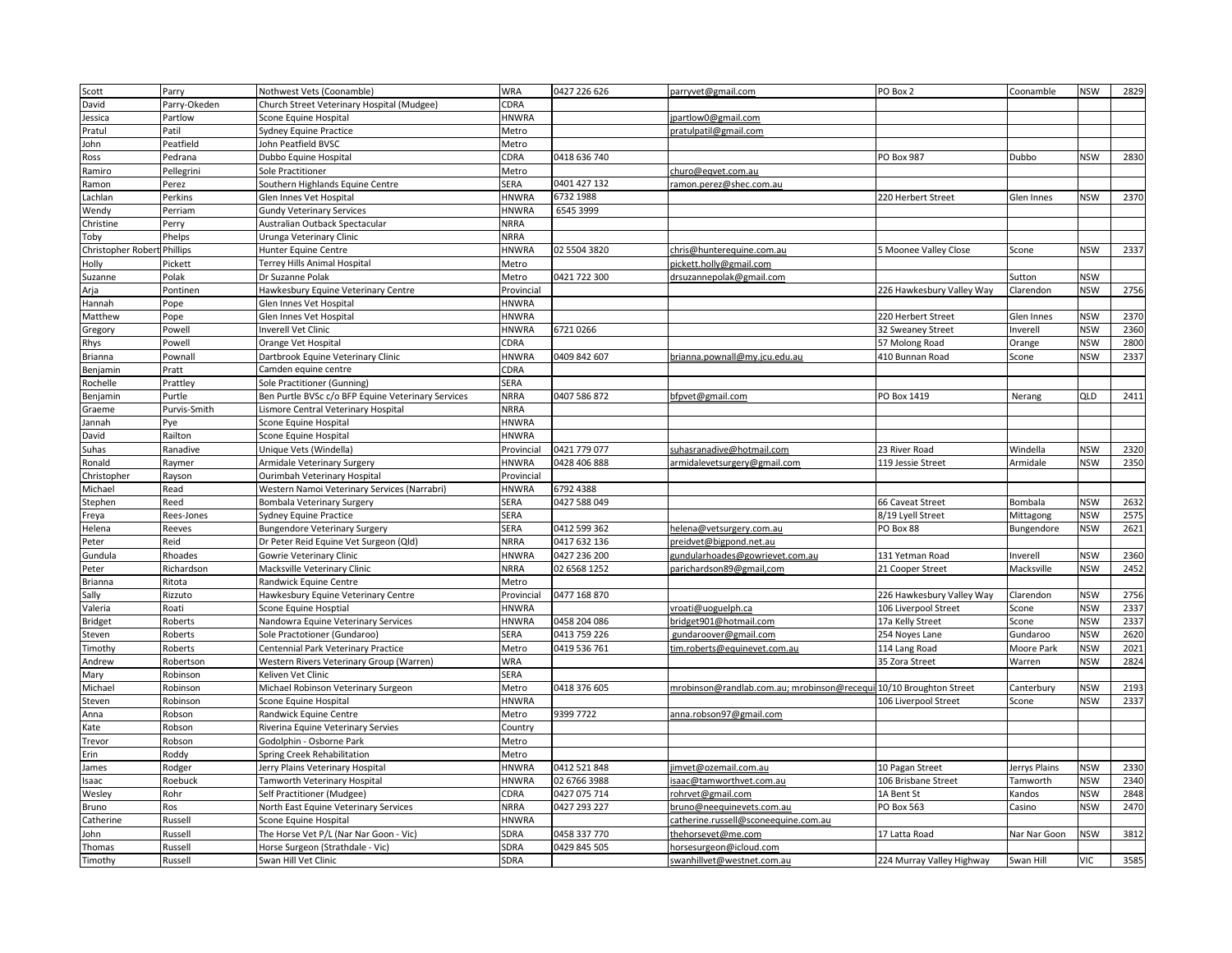| Scott                       | Parry              | Nothwest Vets (Coonamble)                                                  | WRA                        | 0427 226 626                 | parryvet@gmail.com                                                 | PO Box 2                                 | Coonamble     | NSW                      | 2829         |
|-----------------------------|--------------------|----------------------------------------------------------------------------|----------------------------|------------------------------|--------------------------------------------------------------------|------------------------------------------|---------------|--------------------------|--------------|
| David                       | Parry-Okeden       | Church Street Veterinary Hospital (Mudgee)                                 | CDRA                       |                              |                                                                    |                                          |               |                          |              |
| lessica                     | Partlow            | Scone Equine Hospital                                                      | <b>HNWRA</b>               |                              | partlow0@gmail.com                                                 |                                          |               |                          |              |
| Pratul                      | Patil              | Sydney Equine Practice                                                     | Metro                      |                              | pratulpatil@gmail.com                                              |                                          |               |                          |              |
| John                        | Peatfield          | John Peatfield BVSC                                                        | Metro                      |                              |                                                                    |                                          |               |                          |              |
| <b>Ross</b>                 | Pedrana            | Dubbo Equine Hospital                                                      | CDRA                       | 0418 636 740                 |                                                                    | PO Box 987                               | Dubbo         | <b>NSW</b>               | 2830         |
| Ramiro                      | Pellegrini         | <b>Sole Practitioner</b>                                                   | Metro                      |                              | churo@eqvet.com.au                                                 |                                          |               |                          |              |
| Ramon                       | Perez              | Southern Highlands Equine Centre                                           | SERA                       | 0401 427 132                 | ramon.perez@shec.com.au                                            |                                          |               |                          |              |
| .achlan                     | Perkins            | Glen Innes Vet Hospital                                                    | <b>HNWRA</b>               | 6732 1988                    |                                                                    | 220 Herbert Street                       | Glen Innes    | <b>NSW</b>               | 2370         |
| Wendy                       | Perriam            | <b>Gundy Veterinary Services</b>                                           | <b>HNWRA</b>               | 6545 3999                    |                                                                    |                                          |               |                          |              |
| Christine                   | Perry              | Australian Outback Spectacular                                             | <b>NRRA</b>                |                              |                                                                    |                                          |               |                          |              |
| Toby                        | Phelps             | Urunga Veterinary Clinic                                                   | <b>NRRA</b>                |                              |                                                                    |                                          |               |                          |              |
| Christopher Robert Phillips |                    | Hunter Equine Centre                                                       | <b>HNWRA</b>               | 02 5504 3820                 | chris@hunterequine.com.au                                          | 5 Moonee Valley Close                    | Scone         | <b>NSW</b>               | 2337         |
| vlloF                       | Pickett            | Terrey Hills Animal Hospital                                               | Metro                      |                              | pickett.holly@gmail.com                                            |                                          |               |                          |              |
| Suzanne                     | Polak              | Dr Suzanne Polak                                                           | Metro                      | 0421 722 300                 | drsuzannepolak@gmail.com                                           |                                          | Sutton        | <b>NSW</b>               |              |
| Arja                        | Pontinen           | Hawkesbury Equine Veterinary Centre                                        | Provincial                 |                              |                                                                    | 226 Hawkesbury Valley Way                | Clarendon     | <b>NSW</b>               | 2756         |
| Hannah                      | Pope               | Glen Innes Vet Hospital                                                    | <b>HNWRA</b>               |                              |                                                                    |                                          |               |                          |              |
| Matthew                     | Pope               | Glen Innes Vet Hospital                                                    | HNWRA                      |                              |                                                                    | 220 Herbert Street                       | Glen Innes    | <b>NSW</b>               | 2370         |
| Gregory                     | Powell             | <b>Inverell Vet Clinic</b>                                                 | <b>HNWRA</b>               | 67210266                     |                                                                    | 32 Sweaney Street                        | Inverell      | <b>NSW</b>               | 2360         |
| Rhys                        | Powell             | Orange Vet Hospital                                                        | CDRA                       |                              |                                                                    | 57 Molong Road                           | Orange        | <b>NSW</b>               | 2800         |
| <b>Brianna</b>              | Pownall            | Dartbrook Equine Veterinary Clinic                                         | <b>HNWRA</b>               | 0409 842 607                 | brianna.pownall@my.jcu.edu.au                                      | 410 Bunnan Road                          | Scone         | <b>NSW</b>               | 2337         |
| Benjamin                    | Pratt              | Camden equine centre                                                       | CDRA                       |                              |                                                                    |                                          |               |                          |              |
| Rochelle                    | Prattley           | Sole Practitioner (Gunning)                                                | SERA                       |                              |                                                                    |                                          |               |                          |              |
| Benjamin                    | Purtle             | Ben Purtle BVSc c/o BFP Equine Veterinary Services                         | <b>NRRA</b>                | 0407 586 872                 | bfpvet@gmail.com                                                   | PO Box 1419                              | Nerang        | QLD                      | 2411         |
| Graeme                      | Purvis-Smith       | Lismore Central Veterinary Hospital                                        | <b>NRRA</b>                |                              |                                                                    |                                          |               |                          |              |
| Jannah                      | Pye                | Scone Equine Hospital                                                      | <b>HNWRA</b>               |                              |                                                                    |                                          |               |                          |              |
| David                       | Railton            | Scone Equine Hospital                                                      | <b>HNWRA</b>               |                              |                                                                    |                                          |               |                          |              |
| Suhas                       | Ranadive           | Unique Vets (Windella)                                                     | Provincial                 | 0421 779 077                 | suhasranadive@hotmail.com                                          | 23 River Road                            | Windella      | <b>NSW</b>               | 2320         |
|                             |                    |                                                                            | <b>HNWRA</b>               |                              |                                                                    |                                          |               | <b>NSW</b>               | 2350         |
| Ronald<br>Christopher       | Raymer<br>Rayson   | Armidale Veterinary Surgery<br>Ourimbah Veterinary Hospital                | Provincial                 | 0428 406 888                 | armidalevetsurgery@gmail.com                                       | 119 Jessie Street                        | Armidale      |                          |              |
| Michael                     | Read               |                                                                            | HNWRA                      | 6792 4388                    |                                                                    |                                          |               |                          |              |
| Stephen                     | Reed               | Western Namoi Veterinary Services (Narrabri)<br>Bombala Veterinary Surgery | SERA                       | 0427 588 049                 |                                                                    | 66 Caveat Street                         | Bombala       | <b>NSW</b>               | 2632         |
| Freya                       | Rees-Jones         | <b>Sydney Equine Practice</b>                                              | SERA                       |                              |                                                                    | 8/19 Lyell Street                        | Mittagong     | <b>NSW</b>               | 2575         |
| Helena                      | Reeves             | <b>Bungendore Veterinary Surgery</b>                                       | SERA                       | 0412 599 362                 | helena@vetsurgery.com.au                                           | PO Box 88                                | Bungendore    | <b>NSW</b>               | 2621         |
| Peter                       | Reid               | Dr Peter Reid Equine Vet Surgeon (Qld)                                     | NRRA                       | 0417 632 136                 | preidvet@bigpond.net.au                                            |                                          |               |                          |              |
| Gundula                     | Rhoades            | Gowrie Veterinary Clinic                                                   | <b>HNWRA</b>               | 0427 236 200                 | gundularhoades@gowrievet.com.au                                    | 131 Yetman Road                          | Inverell      | <b>NSW</b>               | 2360         |
| Peter                       | Richardson         | Macksville Veterinary Clinic                                               | <b>NRRA</b>                | 02 6568 1252                 | parichardson89@gmail,com                                           | 21 Cooper Street                         | Macksville    | <b>NSW</b>               | 2452         |
|                             |                    |                                                                            |                            |                              |                                                                    |                                          |               |                          |              |
| Brianna                     | Ritota             | Randwick Equine Centre                                                     | Metro                      |                              |                                                                    |                                          |               | <b>NSW</b>               |              |
| Sally                       | Rizzuto            | Hawkesbury Equine Veterinary Centre                                        | Provincial<br><b>HNWRA</b> | 0477 168 870                 |                                                                    | 226 Hawkesbury Valley Way                | Clarendon     |                          | 2756         |
| Valeria                     | Roati<br>Roberts   | Scone Equine Hosptial                                                      | <b>HNWRA</b>               | 0458 204 086                 | vroati@uoguelph.ca                                                 | 106 Liverpool Street<br>17a Kelly Street | Scone         | <b>NSW</b><br><b>NSW</b> | 2337<br>2337 |
| <b>Bridget</b>              |                    | Nandowra Equine Veterinary Services                                        | <b>SERA</b>                | 0413 759 226                 | bridget901@hotmail.com                                             |                                          | Scone         | <b>NSW</b>               | 2620         |
| steven                      | Roberts            | Sole Practotioner (Gundaroo)                                               |                            |                              | gundaroover@gmail.com                                              | 254 Noyes Lane                           | Gundaroo      | <b>NSW</b>               | 2021         |
| <b>Timothy</b>              | Roberts            | Centennial Park Veterinary Practice                                        | Metro                      | 0419 536 761                 | tim.roberts@equinevet.com.au                                       | 114 Lang Road                            | Moore Park    | <b>NSW</b>               | 2824         |
| Andrew                      | Robertson          | Western Rivers Veterinary Group (Warren)                                   | <b>WRA</b><br>SERA         |                              |                                                                    | 35 Zora Street                           | Warren        |                          |              |
| Mary                        | Robinson           | Keliven Vet Clinic                                                         |                            |                              |                                                                    |                                          |               |                          |              |
| Michael                     | Robinson           | Michael Robinson Veterinary Surgeon                                        | Metro                      | 0418 376 605                 | mrobinson@randlab.com.au; mrobinson@recequi 10/10 Broughton Street |                                          | Canterbury    | <b>NSW</b><br><b>NSW</b> | 2193<br>2337 |
| steven<br>Anna              | Robinson<br>Robson | Scone Equine Hospital<br>Randwick Equine Centre                            | <b>HNWRA</b><br>Metro      | 9399 7722                    | anna.robson97@gmail.com                                            | 106 Liverpool Street                     | Scone         |                          |              |
| Kate                        | Robson             | Riverina Equine Veterinary Servies                                         |                            |                              |                                                                    |                                          |               |                          |              |
|                             |                    |                                                                            | Country                    |                              |                                                                    |                                          |               |                          |              |
| Trevor                      | Robson             | Godolphin - Osborne Park                                                   | Metro                      |                              |                                                                    |                                          |               |                          |              |
| Erin                        | Roddy              | Spring Creek Rehabilitation                                                | Metro                      | 0412 521 848                 |                                                                    |                                          |               |                          | 2330         |
| James                       | Rodger             | Jerry Plains Veterinary Hospital                                           | <b>HNWRA</b>               |                              | imvet@ozemail.com.au                                               | 10 Pagan Street                          | Jerrys Plains | <b>NSW</b>               | 2340         |
| saac                        | Roebuck            | Tamworth Veterinary Hospital                                               | <b>HNWRA</b><br>CDRA       | 02 6766 3988<br>0427 075 714 | isaac@tamworthvet.com.au                                           | 106 Brisbane Street                      | Tamworth      | <b>NSW</b>               |              |
| Wesley                      | Rohr<br>Ros        | Self Practitioner (Mudgee)<br>North East Equine Veterinary Services        | <b>NRRA</b>                | 0427 293 227                 | rohrvet@gmail.com                                                  | 1A Bent St<br>PO Box 563                 | Kandos        | <b>NSW</b><br><b>NSW</b> | 2848<br>2470 |
| Bruno                       |                    |                                                                            |                            |                              | bruno@neequinevets.com.au                                          |                                          | Casino        |                          |              |
| Catherine                   | Russell            | Scone Equine Hospital                                                      | <b>HNWRA</b>               |                              | catherine.russell@sconeequine.com.au                               |                                          |               |                          |              |
| lohn                        | Russell            | The Horse Vet P/L (Nar Nar Goon - Vic)                                     | SDRA                       | 0458 337 770                 | thehorsevet@me.com                                                 | 17 Latta Road                            | Nar Nar Goon  | <b>NSW</b>               | 3812         |
| Thomas                      | Russell            | Horse Surgeon (Strathdale - Vic)                                           | SDRA                       | 0429 845 505                 | horsesurgeon@icloud.com                                            |                                          |               |                          | 3585         |
| Timothy                     | Russell            | Swan Hill Vet Clinic                                                       | SDRA                       |                              | swanhillvet@westnet.com.au                                         | 224 Murray Valley Highway                | Swan Hill     | <b>VIC</b>               |              |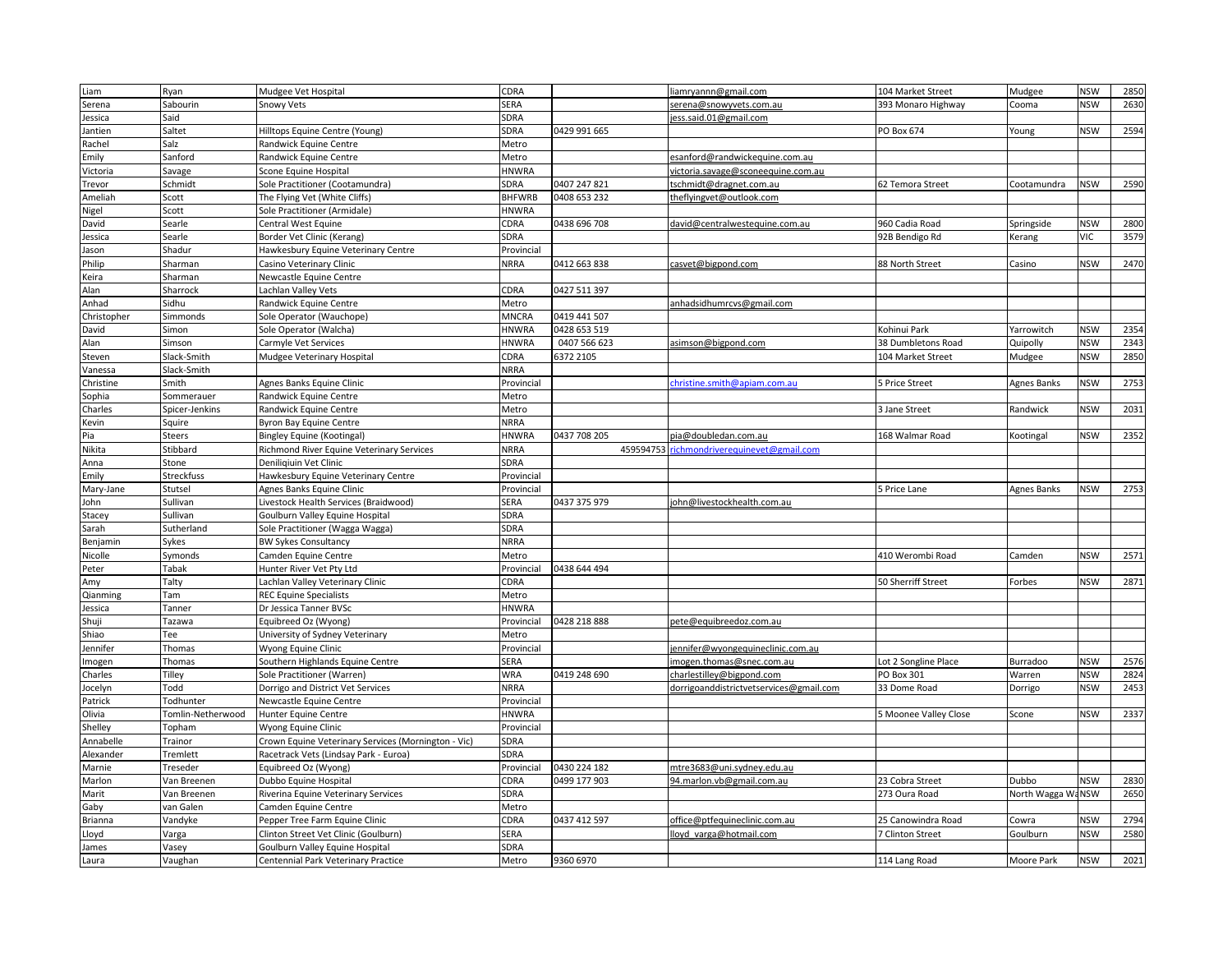| Liam             | Ryan              | Mudgee Vet Hospital                                 | CDRA          |              | liamryannn@gmail.com                    | 104 Market Street     | Mudgee            | <b>NSW</b> | 2850 |
|------------------|-------------------|-----------------------------------------------------|---------------|--------------|-----------------------------------------|-----------------------|-------------------|------------|------|
| Serena           | Sabourin          | Snowy Vets                                          | SERA          |              | serena@snowyvets.com.au                 | 393 Monaro Highway    | Cooma             | <b>NSW</b> | 2630 |
| lessica          | Said              |                                                     | SDRA          |              | ess.said.01@gmail.com                   |                       |                   |            |      |
| Jantien          | Saltet            | Hilltops Equine Centre (Young)                      | SDRA          | 0429 991 665 |                                         | PO Box 674            | Young             | <b>NSW</b> | 2594 |
| Rachel           | Salz              | Randwick Equine Centre                              | Metro         |              |                                         |                       |                   |            |      |
| Emily            | Sanford           | Randwick Equine Centre                              | Metro         |              | esanford@randwickequine.com.au          |                       |                   |            |      |
| Victoria         | Savage            | Scone Equine Hospital                               | <b>HNWRA</b>  |              | victoria.savage@sconeequine.com.au      |                       |                   |            |      |
| <b>Trevor</b>    | Schmidt           | Sole Practitioner (Cootamundra)                     | SDRA          | 0407 247 821 | tschmidt@dragnet.com.au                 | 62 Temora Street      | Cootamundra       | <b>NSW</b> | 2590 |
| Ameliah          | Scott             | The Flying Vet (White Cliffs)                       | <b>BHFWRB</b> | 0408 653 232 | theflyingvet@outlook.com                |                       |                   |            |      |
| Nigel            | Scott             | Sole Practitioner (Armidale)                        | <b>HNWRA</b>  |              |                                         |                       |                   |            |      |
| David            | Searle            | <b>Central West Equine</b>                          | CDRA          | 0438 696 708 | david@centralwestequine.com.au          | 960 Cadia Road        | Springside        | <b>NSW</b> | 2800 |
| lessica          | Searle            | Border Vet Clinic (Kerang)                          | SDRA          |              |                                         | 92B Bendigo Rd        | Kerang            | VIC        | 3579 |
| lason            | Shadur            | Hawkesbury Equine Veterinary Centre                 | Provincial    |              |                                         |                       |                   |            |      |
| Philip           | Sharman           | Casino Veterinary Clinic                            | <b>NRRA</b>   | 0412 663 838 | casvet@bigpond.com                      | 88 North Street       | Casino            | <b>NSW</b> | 2470 |
| Keira            | Sharman           | Newcastle Equine Centre                             |               |              |                                         |                       |                   |            |      |
| Alan             | Sharrock          | Lachlan Valley Vets                                 | CDRA          | 0427 511 397 |                                         |                       |                   |            |      |
| Anhad            | Sidhu             | Randwick Equine Centre                              | Metro         |              | anhadsidhumrcvs@gmail.com               |                       |                   |            |      |
| Christopher      | Simmonds          | Sole Operator (Wauchope)                            | MNCRA         | 0419 441 507 |                                         |                       |                   |            |      |
| David            | Simon             | Sole Operator (Walcha)                              | <b>HNWRA</b>  | 0428 653 519 |                                         | Kohinui Park          | Yarrowitch        | <b>NSW</b> | 2354 |
| Alan             | Simson            | Carmyle Vet Services                                | <b>HNWRA</b>  | 0407 566 623 | asimson@bigpond.com                     | 38 Dumbletons Road    | Quipolly          | <b>NSW</b> | 2343 |
| Steven           | Slack-Smith       | Mudgee Veterinary Hospital                          | CDRA          | 6372 2105    |                                         | 104 Market Street     | Mudgee            | <b>NSW</b> | 2850 |
| Vanessa          | Slack-Smith       |                                                     | <b>NRRA</b>   |              |                                         |                       |                   |            |      |
| Christine        | Smith             | Agnes Banks Equine Clinic                           | Provincial    |              | christine.smith@apiam.com.au            | 5 Price Street        | Agnes Banks       | <b>NSW</b> | 2753 |
| Sophia           | Sommerauer        | Randwick Equine Centre                              | Metro         |              |                                         |                       |                   |            |      |
| Charles          | Spicer-Jenkins    | Randwick Equine Centre                              | Metro         |              |                                         | 3 Jane Street         | Randwick          | <b>NSW</b> | 2031 |
| Kevin            | Squire            | Byron Bay Equine Centre                             | <b>NRRA</b>   |              |                                         |                       |                   |            |      |
| Pia              | <b>Steers</b>     | <b>Bingley Equine (Kootingal)</b>                   | <b>HNWRA</b>  | 0437 708 205 | pia@doubledan.com.au                    | 168 Walmar Road       | Kootingal         | <b>NSW</b> | 2352 |
| Nikita           | Stibbard          | Richmond River Equine Veterinary Services           | <b>NRRA</b>   | 459594753    | richmondriverequinevet@gmail.com        |                       |                   |            |      |
| Anna             | Stone             | Deniligiuin Vet Clinic                              | SDRA          |              |                                         |                       |                   |            |      |
| Emily            | Streckfuss        | Hawkesbury Equine Veterinary Centre                 | Provincial    |              |                                         |                       |                   |            |      |
| Mary-Jane        | Stutsel           | Agnes Banks Equine Clinic                           | Provincial    |              |                                         | 5 Price Lane          | Agnes Banks       | <b>NSW</b> | 2753 |
| lohn             | Sullivan          | Livestock Health Services (Braidwood)               | SERA          | 0437 375 979 | ohn@livestockhealth.com.au              |                       |                   |            |      |
| Stacey           | Sullivan          | Goulburn Valley Equine Hospital                     | SDRA          |              |                                         |                       |                   |            |      |
| Sarah            | Sutherland        | Sole Practitioner (Wagga Wagga)                     | SDRA          |              |                                         |                       |                   |            |      |
| Benjamin         | Sykes             | <b>BW Sykes Consultancy</b>                         | <b>NRRA</b>   |              |                                         |                       |                   |            |      |
| Nicolle          | Symonds           | Camden Equine Centre                                | Metro         |              |                                         | 410 Werombi Road      | Camden            | <b>NSW</b> | 2571 |
| Peter            | Tabak             | Hunter River Vet Pty Ltd                            | Provincial    | 0438 644 494 |                                         |                       |                   |            |      |
| Amy              | Talty             | Lachlan Valley Veterinary Clinic                    | CDRA          |              |                                         | 50 Sherriff Street    | Forbes            | <b>NSW</b> | 2871 |
| Qianmin          | Tam               | <b>REC Equine Specialists</b>                       | Metro         |              |                                         |                       |                   |            |      |
| lessica          | Tanner            | Dr Jessica Tanner BVSc                              | <b>HNWRA</b>  |              |                                         |                       |                   |            |      |
| Shuji            | Tazawa            | Equibreed Oz (Wyong)                                | Provincial    | 0428 218 888 | pete@equibreedoz.com.au                 |                       |                   |            |      |
| Shiao            | Tee               | University of Sydney Veterinary                     | Metro         |              |                                         |                       |                   |            |      |
| lennifer         | Thomas            | Wyong Equine Clinic                                 | Provincial    |              | jennifer@wyongequineclinic.com.au       |                       |                   |            |      |
| mogen            | Thomas            | Southern Highlands Equine Centre                    | SERA          |              | mogen.thomas@snec.com.au                | Lot 2 Songline Place  | Burradoo          | <b>NSW</b> | 2576 |
| Charles          | Tilley            | Sole Practitioner (Warren)                          | WRA           | 0419 248 690 | charlestilley@bigpond.com               | PO Box 301            | Warren            | <b>NSW</b> | 2824 |
| locelyn          | Todd              | Dorrigo and District Vet Services                   | <b>NRRA</b>   |              | dorrigoanddistrictvetservices@gmail.com | 33 Dome Road          | Dorrigo           | <b>NSW</b> | 2453 |
| Patrick          | Todhunter         | Newcastle Equine Centre                             | Provincial    |              |                                         |                       |                   |            |      |
| Olivia           | Tomlin-Netherwood | Hunter Equine Centre                                | <b>HNWRA</b>  |              |                                         | 5 Moonee Valley Close | Scone             | <b>NSW</b> | 2337 |
| Shelley          | Topham            | Wyong Equine Clinic                                 | Provincial    |              |                                         |                       |                   |            |      |
| Annabelle        | Trainor           | Crown Equine Veterinary Services (Mornington - Vic) | SDRA          |              |                                         |                       |                   |            |      |
| <b>Alexander</b> | Tremlett          | Racetrack Vets (Lindsay Park - Euroa)               | SDRA          |              |                                         |                       |                   |            |      |
| Marnie           | Treseder          | Equibreed Oz (Wyong)                                | Provincial    | 0430 224 182 | mtre3683@uni.sydney.edu.au              |                       |                   |            |      |
| Marlon           | Van Breenen       | Dubbo Equine Hospital                               | CDRA          | 0499 177 903 | 94.marlon.vb@gmail.com.au               | 23 Cobra Street       | Dubbo             | <b>NSW</b> | 2830 |
| Marit            | Van Breenen       | Riverina Equine Veterinary Services                 | SDRA          |              |                                         | 273 Oura Road         | North Wagga WaNSW |            | 2650 |
| Gaby             | van Galen         | Camden Equine Centre                                | Metro         |              |                                         |                       |                   |            |      |
| Brianna          | Vandyke           | Pepper Tree Farm Equine Clinic                      | CDRA          | 0437 412 597 | office@ptfequineclinic.com.au           | 25 Canowindra Road    | Cowra             | <b>NSW</b> | 2794 |
| Lloyd            | Varga             | Clinton Street Vet Clinic (Goulburn)                | SERA          |              | lloyd_varga@hotmail.com                 | 7 Clinton Street      | Goulburn          | <b>NSW</b> | 2580 |
| lames            | Vasey             | Goulburn Valley Equine Hospital                     | SDRA          |              |                                         |                       |                   |            |      |
| Laura            | Vaughan           | Centennial Park Veterinary Practice                 | Metro         | 9360 6970    |                                         | 114 Lang Road         | Moore Park        | <b>NSW</b> | 2021 |
|                  |                   |                                                     |               |              |                                         |                       |                   |            |      |